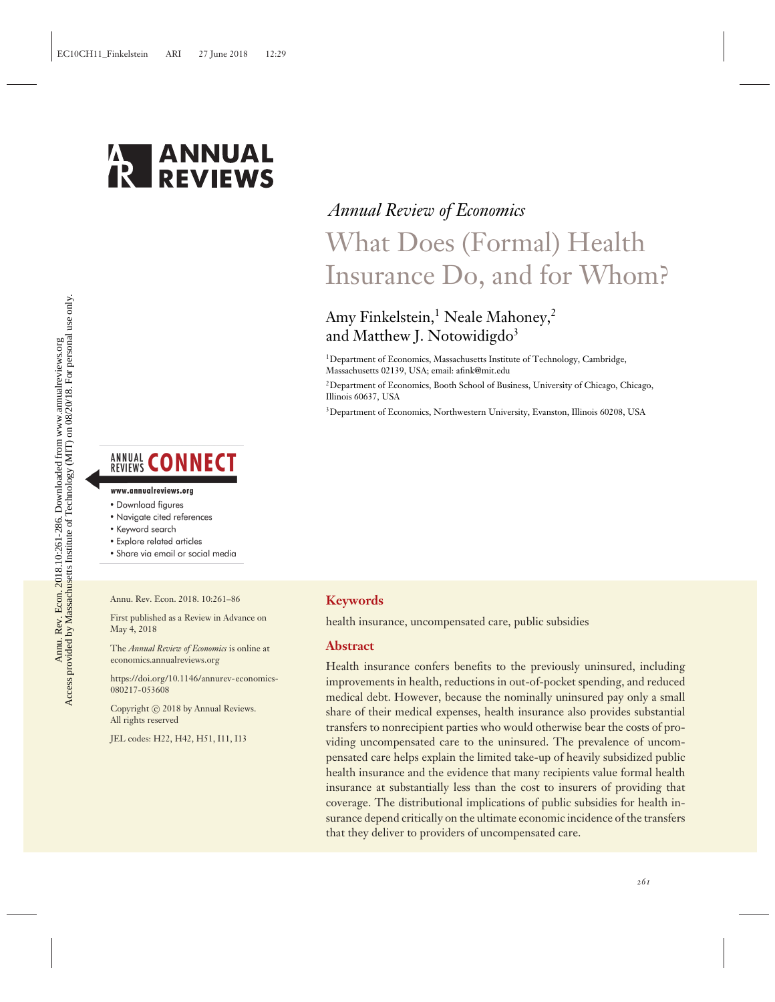

# *Annual Review of Economics* What Does (Formal) Health Insurance Do, and for Whom?

# Amy Finkelstein,<sup>1</sup> Neale Mahoney,<sup>2</sup> and Matthew J. Notowidigdo<sup>3</sup>

<sup>1</sup>Department of Economics, Massachusetts Institute of Technology, Cambridge, Massachusetts 02139, USA; email: afink@mit.edu

2Department of Economics, Booth School of Business, University of Chicago, Chicago, Illinois 60637, USA

3Department of Economics, Northwestern University, Evanston, Illinois 60208, USA

# **ANNUAL CONNECT**

#### www.annualreviews.ora

- Download figures
- Navigate cited references
- Keyword search
- Explore related articles
- · Share via email or social media

Annu. Rev. Econ. 2018. 10:261–86

First published as a Review in Advance on May 4, 2018

The *Annual Review of Economics* is online at economics.annualreviews.org

[https://doi.org/10.1146/annurev-economics-](https://doi.org/10.1146/annurev-economics-080217-053608)[080217-053608](https://doi.org/10.1146/annurev-economics-080217-053608)

Copyright © 2018 by Annual Reviews. All rights reserved

JEL codes: H22, H42, H51, I11, I13

### **Keywords**

health insurance, uncompensated care, public subsidies

#### **Abstract**

Health insurance confers benefits to the previously uninsured, including improvements in health, reductions in out-of-pocket spending, and reduced medical debt. However, because the nominally uninsured pay only a small share of their medical expenses, health insurance also provides substantial transfers to nonrecipient parties who would otherwise bear the costs of providing uncompensated care to the uninsured. The prevalence of uncompensated care helps explain the limited take-up of heavily subsidized public health insurance and the evidence that many recipients value formal health insurance at substantially less than the cost to insurers of providing that coverage. The distributional implications of public subsidies for health insurance depend critically on the ultimate economic incidence of the transfers that they deliver to providers of uncompensated care.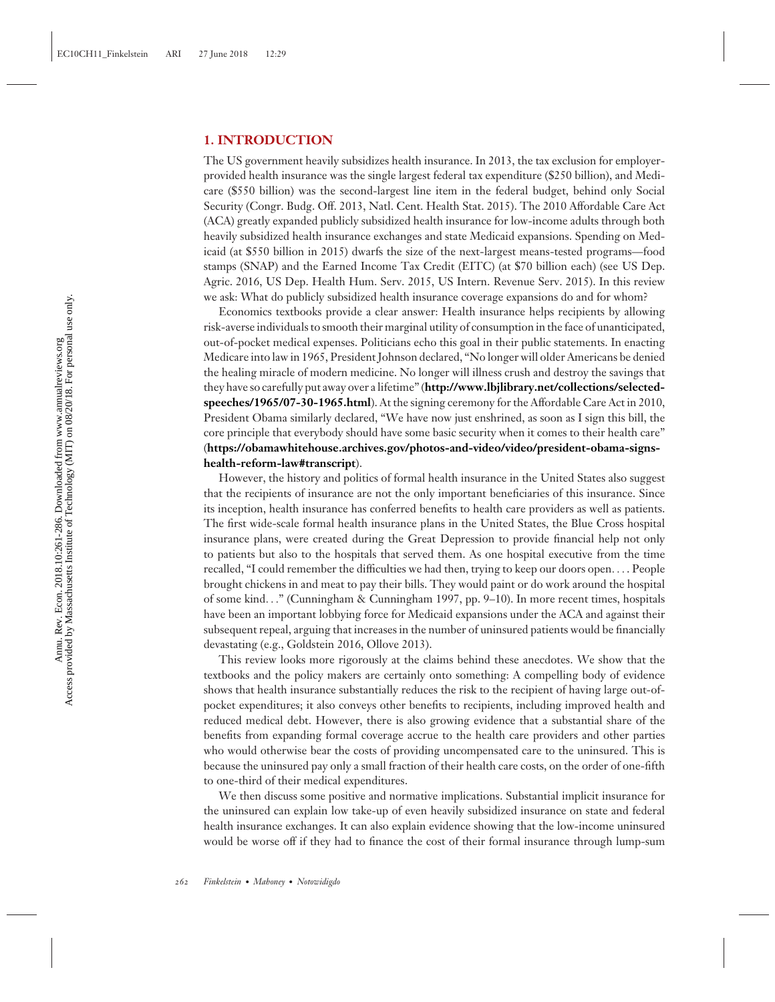#### **1. INTRODUCTION**

The US government heavily subsidizes health insurance. In 2013, the tax exclusion for employerprovided health insurance was the single largest federal tax expenditure (\$250 billion), and Medicare (\$550 billion) was the second-largest line item in the federal budget, behind only Social Security (Congr. Budg. Off. 2013, Natl. Cent. Health Stat. 2015). The 2010 Affordable Care Act (ACA) greatly expanded publicly subsidized health insurance for low-income adults through both heavily subsidized health insurance exchanges and state Medicaid expansions. Spending on Medicaid (at \$550 billion in 2015) dwarfs the size of the next-largest means-tested programs—food stamps (SNAP) and the Earned Income Tax Credit (EITC) (at \$70 billion each) (see US Dep. Agric. 2016, US Dep. Health Hum. Serv. 2015, US Intern. Revenue Serv. 2015). In this review we ask: What do publicly subsidized health insurance coverage expansions do and for whom?

Economics textbooks provide a clear answer: Health insurance helps recipients by allowing risk-averse individuals to smooth their marginal utility of consumption in the face of unanticipated, out-of-pocket medical expenses. Politicians echo this goal in their public statements. In enacting Medicare into law in 1965, President Johnson declared, "No longer will older Americans be denied the healing miracle of modern medicine. No longer will illness crush and destroy the savings that they have so carefully put away over a lifetime" (**[http://www.lbjlibrary.net/collections/selected](http://www.lbjlibrary.net/collections/selected-speeches/1965/07-30-1965.html)[speeches/1965/07-30-1965.html](http://www.lbjlibrary.net/collections/selected-speeches/1965/07-30-1965.html)**). At the signing ceremony for the Affordable Care Act in 2010, President Obama similarly declared, "We have now just enshrined, as soon as I sign this bill, the core principle that everybody should have some basic security when it comes to their health care" (**[https://obamawhitehouse.archives.gov/photos-and-video/video/president-obama-signs](https://obamawhitehouse.archives.gov/photos-and-video/video/president-obama-signs-health-reform-law#transcript)[health-reform-law#transcript](https://obamawhitehouse.archives.gov/photos-and-video/video/president-obama-signs-health-reform-law#transcript)**).

However, the history and politics of formal health insurance in the United States also suggest that the recipients of insurance are not the only important beneficiaries of this insurance. Since its inception, health insurance has conferred benefits to health care providers as well as patients. The first wide-scale formal health insurance plans in the United States, the Blue Cross hospital insurance plans, were created during the Great Depression to provide financial help not only to patients but also to the hospitals that served them. As one hospital executive from the time recalled, "I could remember the difficulties we had then, trying to keep our doors open... . People brought chickens in and meat to pay their bills. They would paint or do work around the hospital of some kind..." (Cunningham & Cunningham 1997, pp. 9–10). In more recent times, hospitals have been an important lobbying force for Medicaid expansions under the ACA and against their subsequent repeal, arguing that increases in the number of uninsured patients would be financially devastating (e.g., Goldstein 2016, Ollove 2013).

This review looks more rigorously at the claims behind these anecdotes. We show that the textbooks and the policy makers are certainly onto something: A compelling body of evidence shows that health insurance substantially reduces the risk to the recipient of having large out-ofpocket expenditures; it also conveys other benefits to recipients, including improved health and reduced medical debt. However, there is also growing evidence that a substantial share of the benefits from expanding formal coverage accrue to the health care providers and other parties who would otherwise bear the costs of providing uncompensated care to the uninsured. This is because the uninsured pay only a small fraction of their health care costs, on the order of one-fifth to one-third of their medical expenditures.

We then discuss some positive and normative implications. Substantial implicit insurance for the uninsured can explain low take-up of even heavily subsidized insurance on state and federal health insurance exchanges. It can also explain evidence showing that the low-income uninsured would be worse off if they had to finance the cost of their formal insurance through lump-sum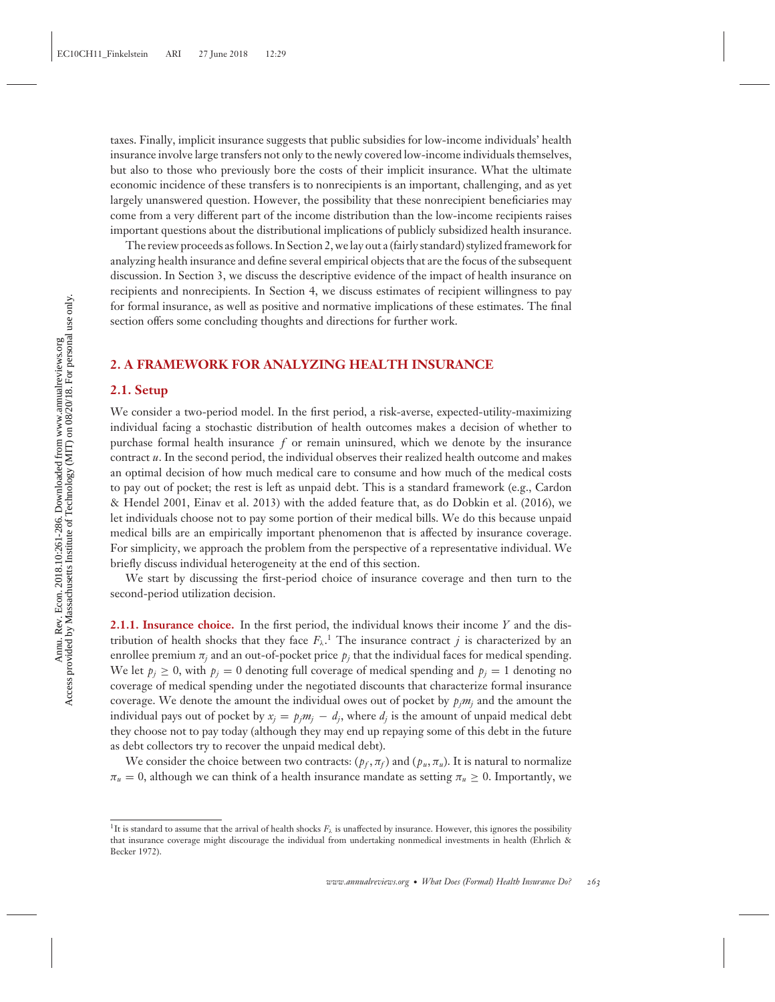taxes. Finally, implicit insurance suggests that public subsidies for low-income individuals' health insurance involve large transfers not only to the newly covered low-income individuals themselves, but also to those who previously bore the costs of their implicit insurance. What the ultimate economic incidence of these transfers is to nonrecipients is an important, challenging, and as yet largely unanswered question. However, the possibility that these nonrecipient beneficiaries may come from a very different part of the income distribution than the low-income recipients raises important questions about the distributional implications of publicly subsidized health insurance.

The review proceeds as follows. In Section 2, we lay out a (fairly standard) stylized framework for analyzing health insurance and define several empirical objects that are the focus of the subsequent discussion. In Section 3, we discuss the descriptive evidence of the impact of health insurance on recipients and nonrecipients. In Section 4, we discuss estimates of recipient willingness to pay for formal insurance, as well as positive and normative implications of these estimates. The final section offers some concluding thoughts and directions for further work.

#### **2. A FRAMEWORK FOR ANALYZING HEALTH INSURANCE**

#### **2.1. Setup**

We consider a two-period model. In the first period, a risk-averse, expected-utility-maximizing individual facing a stochastic distribution of health outcomes makes a decision of whether to purchase formal health insurance *f* or remain uninsured, which we denote by the insurance contract *u*. In the second period, the individual observes their realized health outcome and makes an optimal decision of how much medical care to consume and how much of the medical costs to pay out of pocket; the rest is left as unpaid debt. This is a standard framework (e.g., Cardon & Hendel 2001, Einav et al. 2013) with the added feature that, as do Dobkin et al. (2016), we let individuals choose not to pay some portion of their medical bills. We do this because unpaid medical bills are an empirically important phenomenon that is affected by insurance coverage. For simplicity, we approach the problem from the perspective of a representative individual. We briefly discuss individual heterogeneity at the end of this section.

We start by discussing the first-period choice of insurance coverage and then turn to the second-period utilization decision.

**2.1.1. Insurance choice.** In the first period, the individual knows their income *Y* and the distribution of health shocks that they face  $F_{\lambda}$ .<sup>1</sup> The insurance contract *j* is characterized by an enrollee premium  $\pi_j$  and an out-of-pocket price  $p_j$  that the individual faces for medical spending. We let  $p_j \geq 0$ , with  $p_j = 0$  denoting full coverage of medical spending and  $p_j = 1$  denoting no coverage of medical spending under the negotiated discounts that characterize formal insurance coverage. We denote the amount the individual owes out of pocket by  $p_jm_j$  and the amount the individual pays out of pocket by  $x_j = p_j m_j - d_j$ , where  $d_j$  is the amount of unpaid medical debt they choose not to pay today (although they may end up repaying some of this debt in the future as debt collectors try to recover the unpaid medical debt).

We consider the choice between two contracts:  $(p_f, \pi_f)$  and  $(p_u, \pi_u)$ . It is natural to normalize  $\pi_u = 0$ , although we can think of a health insurance mandate as setting  $\pi_u \geq 0$ . Importantly, we

<sup>&</sup>lt;sup>1</sup>It is standard to assume that the arrival of health shocks  $F_\lambda$  is unaffected by insurance. However, this ignores the possibility that insurance coverage might discourage the individual from undertaking nonmedical investments in health (Ehrlich & Becker 1972).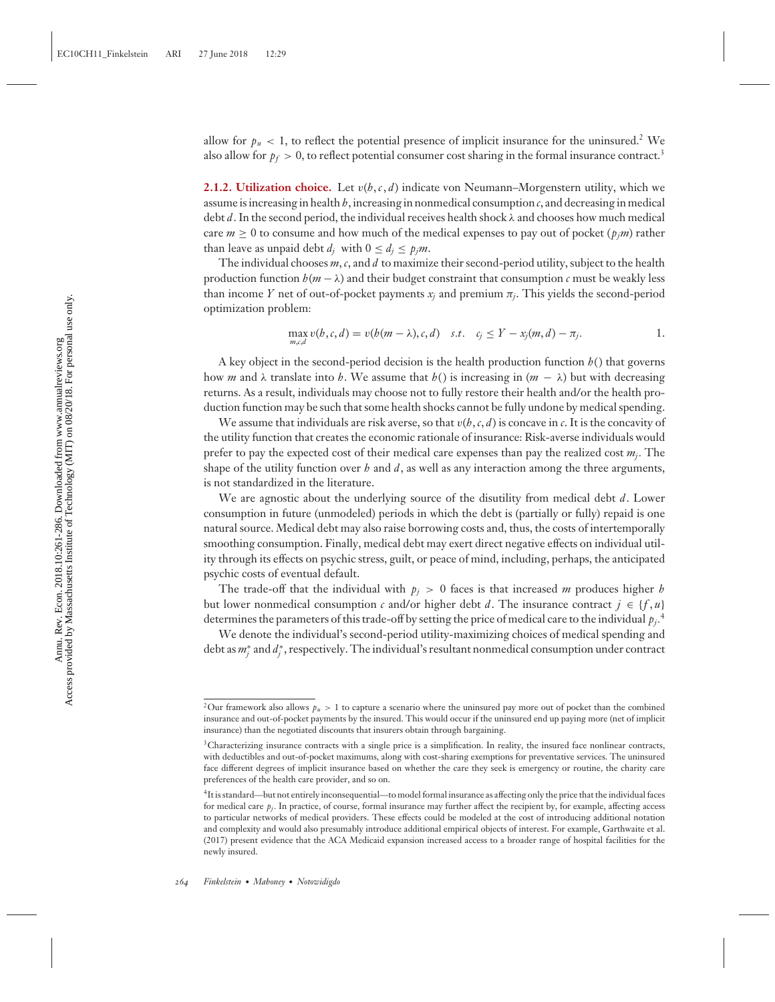allow for  $p_u < 1$ , to reflect the potential presence of implicit insurance for the uninsured.<sup>2</sup> We also allow for  $p_f > 0$ , to reflect potential consumer cost sharing in the formal insurance contract.<sup>3</sup>

**2.1.2. Utilization choice.** Let  $v(h, c, d)$  indicate von Neumann–Morgenstern utility, which we assume is increasing in health *h*, increasing in nonmedical consumption *c*, and decreasing in medical  $\det d$ . In the second period, the individual receives health shock  $\lambda$  and chooses how much medical care  $m \geq 0$  to consume and how much of the medical expenses to pay out of pocket  $(p_i m)$  rather than leave as unpaid debt  $d_i$  with  $0 \leq d_i \leq p_i m$ .

The individual chooses *m*, *c*, and *d* to maximize their second-period utility, subject to the health production function  $h(m - \lambda)$  and their budget constraint that consumption *c* must be weakly less than income *Y* net of out-of-pocket payments  $x_j$  and premium  $\pi_j$ . This yields the second-period optimization problem:

$$
\max_{m,c,d} v(b,c,d) = v(b(m-\lambda),c,d) \quad s.t. \quad c_j \leq Y - x_j(m,d) - \pi_j.
$$

A key object in the second-period decision is the health production function *h*( ) that governs how *m* and  $\lambda$  translate into *h*. We assume that *h*() is increasing in  $(m - \lambda)$  but with decreasing returns. As a result, individuals may choose not to fully restore their health and/or the health production function may be such that some health shocks cannot be fully undone by medical spending.

We assume that individuals are risk averse, so that  $v(h, c, d)$  is concave in *c*. It is the concavity of the utility function that creates the economic rationale of insurance: Risk-averse individuals would prefer to pay the expected cost of their medical care expenses than pay the realized cost *mj*. The shape of the utility function over *h* and *d*, as well as any interaction among the three arguments, is not standardized in the literature.

We are agnostic about the underlying source of the disutility from medical debt *d*. Lower consumption in future (unmodeled) periods in which the debt is (partially or fully) repaid is one natural source. Medical debt may also raise borrowing costs and, thus, the costs of intertemporally smoothing consumption. Finally, medical debt may exert direct negative effects on individual utility through its effects on psychic stress, guilt, or peace of mind, including, perhaps, the anticipated psychic costs of eventual default.

The trade-off that the individual with  $p_i > 0$  faces is that increased *m* produces higher *h* but lower nonmedical consumption *c* and/or higher debt *d*. The insurance contract  $j \in \{f, u\}$ determines the parameters of this trade-off by setting the price of medical care to the individual *pj*. 4

We denote the individual's second-period utility-maximizing choices of medical spending and debt as  $m_j^*$  and  $d_j^*$ , respectively. The individual's resultant nonmedical consumption under contract

<sup>&</sup>lt;sup>2</sup>Our framework also allows  $p_u > 1$  to capture a scenario where the uninsured pay more out of pocket than the combined insurance and out-of-pocket payments by the insured. This would occur if the uninsured end up paying more (net of implicit insurance) than the negotiated discounts that insurers obtain through bargaining.

<sup>&</sup>lt;sup>5</sup>Characterizing insurance contracts with a single price is a simplification. In reality, the insured face nonlinear contracts, with deductibles and out-of-pocket maximums, along with cost-sharing exemptions for preventative services. The uninsured face different degrees of implicit insurance based on whether the care they seek is emergency or routine, the charity care preferences of the health care provider, and so on.

<sup>4</sup>It is standard—but not entirely inconsequential—to model formal insurance as affecting only the price that the individual faces for medical care *pj*. In practice, of course, formal insurance may further affect the recipient by, for example, affecting access to particular networks of medical providers. These effects could be modeled at the cost of introducing additional notation and complexity and would also presumably introduce additional empirical objects of interest. For example, Garthwaite et al. (2017) present evidence that the ACA Medicaid expansion increased access to a broader range of hospital facilities for the newly insured.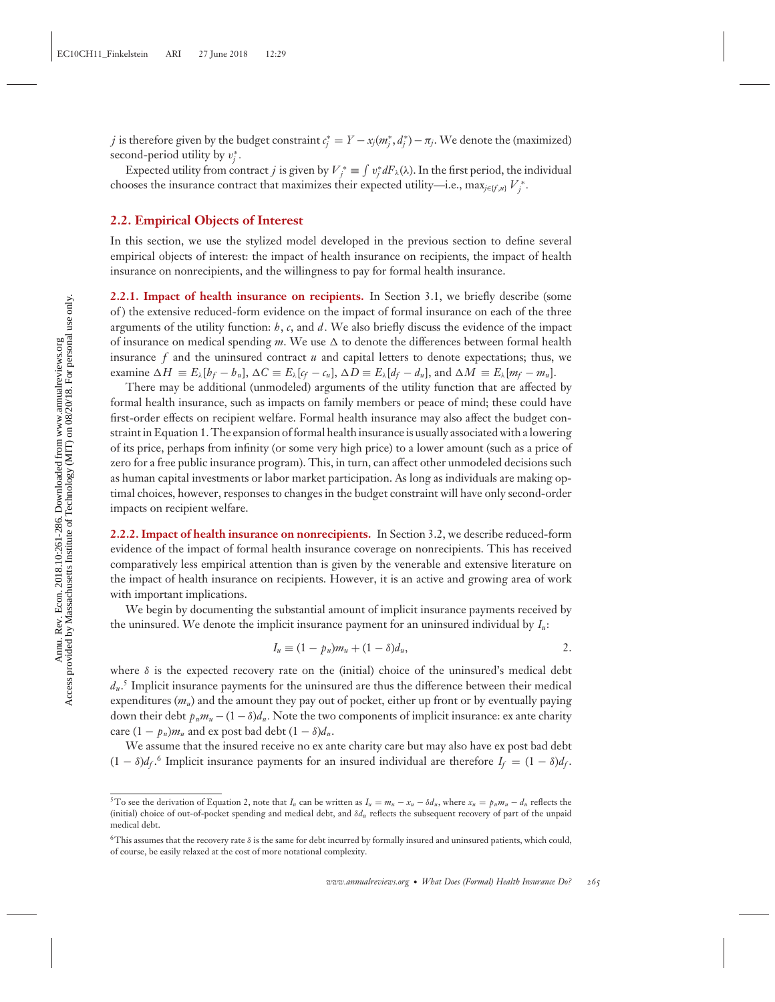*j* is therefore given by the budget constraint  $c_j^* = Y - x_j(m_j^*, d_j^*) - \pi_j$ . We denote the (maximized) second-period utility by  $v_j^*$ .

Expected utility from contract *j* is given by  $V_j^* \equiv \int v_j^* dF_\lambda(\lambda)$ . In the first period, the individual chooses the insurance contract that maximizes their expected utility—i.e., max $j \in \{f, u\}$   $V_j^*$ .

#### **2.2. Empirical Objects of Interest**

In this section, we use the stylized model developed in the previous section to define several empirical objects of interest: the impact of health insurance on recipients, the impact of health insurance on nonrecipients, and the willingness to pay for formal health insurance.

**2.2.1. Impact of health insurance on recipients.** In Section 3.1, we briefly describe (some of ) the extensive reduced-form evidence on the impact of formal insurance on each of the three arguments of the utility function: *h*, *c*, and *d*. We also briefly discuss the evidence of the impact of insurance on medical spending  $m$ . We use  $\Delta$  to denote the differences between formal health insurance *f* and the uninsured contract *u* and capital letters to denote expectations; thus, we examine  $\Delta H \equiv E_\lambda [h_f - h_u]$ ,  $\Delta C \equiv E_\lambda [c_f - c_u]$ ,  $\Delta D \equiv E_\lambda [d_f - d_u]$ , and  $\Delta M \equiv E_\lambda [m_f - m_u]$ .

There may be additional (unmodeled) arguments of the utility function that are affected by formal health insurance, such as impacts on family members or peace of mind; these could have first-order effects on recipient welfare. Formal health insurance may also affect the budget constraint in Equation 1. The expansion of formal health insurance is usually associated with a lowering of its price, perhaps from infinity (or some very high price) to a lower amount (such as a price of zero for a free public insurance program). This, in turn, can affect other unmodeled decisions such as human capital investments or labor market participation. As long as individuals are making optimal choices, however, responses to changes in the budget constraint will have only second-order impacts on recipient welfare.

**2.2.2. Impact of health insurance on nonrecipients.** In Section 3.2, we describe reduced-form evidence of the impact of formal health insurance coverage on nonrecipients. This has received comparatively less empirical attention than is given by the venerable and extensive literature on the impact of health insurance on recipients. However, it is an active and growing area of work with important implications.

We begin by documenting the substantial amount of implicit insurance payments received by the uninsured. We denote the implicit insurance payment for an uninsured individual by *Iu*:

$$
I_u \equiv (1 - p_u)m_u + (1 - \delta)d_u,
$$

where  $\delta$  is the expected recovery rate on the (initial) choice of the uninsured's medical debt *du*. <sup>5</sup> Implicit insurance payments for the uninsured are thus the difference between their medical expenditures (*mu*) and the amount they pay out of pocket, either up front or by eventually paying down their debt  $p_u m_u - (1 - \delta) d_u$ . Note the two components of implicit insurance: ex ante charity care  $(1 - p_u)m_u$  and ex post bad debt  $(1 - \delta)d_u$ .

We assume that the insured receive no ex ante charity care but may also have ex post bad debt  $(1 - \delta)d_f$ .<sup>6</sup> Implicit insurance payments for an insured individual are therefore  $I_f = (1 - \delta)d_f$ .

<sup>&</sup>lt;sup>5</sup>To see the derivation of Equation 2, note that *I<sub>u</sub>* can be written as  $I_u = m_u - x_u - \delta d_u$ , where  $x_u = p_u m_u - d_u$  reflects the (initial) choice of out-of-pocket spending and medical debt, and δ*du* reflects the subsequent recovery of part of the unpaid medical debt.

<sup>6</sup>This assumes that the recovery rate δ is the same for debt incurred by formally insured and uninsured patients, which could, of course, be easily relaxed at the cost of more notational complexity.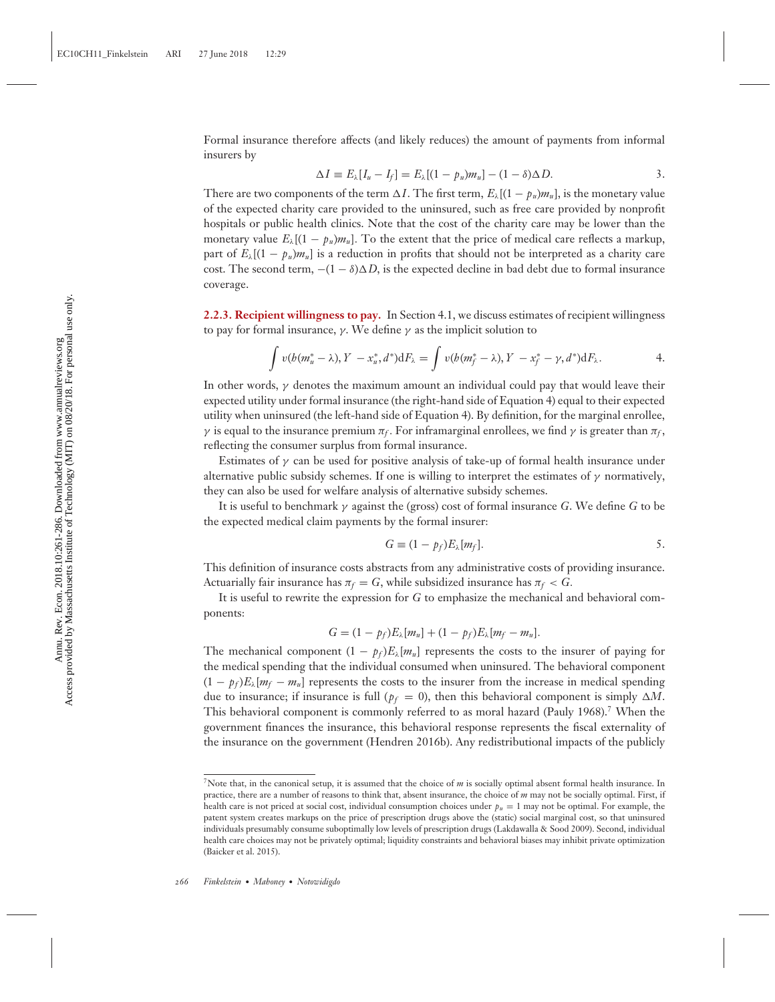Formal insurance therefore affects (and likely reduces) the amount of payments from informal insurers by

$$
\Delta I \equiv E_{\lambda}[I_u - I_f] = E_{\lambda}[(1 - p_u)m_u] - (1 - \delta)\Delta D.
$$

There are two components of the term  $\Delta I$ . The first term,  $E_{\lambda}[(1 - p_{u})m_{u}]$ , is the monetary value of the expected charity care provided to the uninsured, such as free care provided by nonprofit hospitals or public health clinics. Note that the cost of the charity care may be lower than the monetary value  $E_{\lambda}[(1 - p_u)m_u]$ . To the extent that the price of medical care reflects a markup, part of  $E_{\lambda}[(1 - p_{u})m_{u}]$  is a reduction in profits that should not be interpreted as a charity care cost. The second term,  $-(1 - \delta) \Delta D$ , is the expected decline in bad debt due to formal insurance coverage.

**2.2.3. Recipient willingness to pay.** In Section 4.1, we discuss estimates of recipient willingness to pay for formal insurance,  $γ$ . We define  $γ$  as the implicit solution to

$$
\int v(b(m_u^* - \lambda), Y - x_u^*, d^*)\mathrm{d}F_\lambda = \int v(b(m_f^* - \lambda), Y - x_f^* - \gamma, d^*)\mathrm{d}F_\lambda.
$$

In other words,  $\gamma$  denotes the maximum amount an individual could pay that would leave their expected utility under formal insurance (the right-hand side of Equation 4) equal to their expected utility when uninsured (the left-hand side of Equation 4). By definition, for the marginal enrollee, γ is equal to the insurance premium π*<sup>f</sup>* . For inframarginal enrollees, we find γ is greater than π*<sup>f</sup>* , reflecting the consumer surplus from formal insurance.

Estimates of  $\gamma$  can be used for positive analysis of take-up of formal health insurance under alternative public subsidy schemes. If one is willing to interpret the estimates of  $\gamma$  normatively, they can also be used for welfare analysis of alternative subsidy schemes.

It is useful to benchmark γ against the (gross) cost of formal insurance *G*. We define *G* to be the expected medical claim payments by the formal insurer:

$$
G \equiv (1 - p_f) E_{\lambda}[m_f]. \tag{5}
$$

This definition of insurance costs abstracts from any administrative costs of providing insurance. Actuarially fair insurance has  $\pi_f = G$ , while subsidized insurance has  $\pi_f < G$ .

It is useful to rewrite the expression for *G* to emphasize the mechanical and behavioral components:

$$
G=(1-p_f)E_\lambda[m_u] + (1-p_f)E_\lambda[m_f-m_u].
$$

The mechanical component  $(1 - p_f)E_\lambda[m_u]$  represents the costs to the insurer of paying for the medical spending that the individual consumed when uninsured. The behavioral component  $(1 - p_f)E_\lambda[m_f - m_u]$  represents the costs to the insurer from the increase in medical spending due to insurance; if insurance is full ( $p_f = 0$ ), then this behavioral component is simply  $\Delta M$ . This behavioral component is commonly referred to as moral hazard (Pauly 1968).<sup>7</sup> When the government finances the insurance, this behavioral response represents the fiscal externality of the insurance on the government (Hendren 2016b). Any redistributional impacts of the publicly

<sup>7</sup>Note that, in the canonical setup, it is assumed that the choice of *m* is socially optimal absent formal health insurance. In practice, there are a number of reasons to think that, absent insurance, the choice of *m* may not be socially optimal. First, if health care is not priced at social cost, individual consumption choices under  $p_u = 1$  may not be optimal. For example, the patent system creates markups on the price of prescription drugs above the (static) social marginal cost, so that uninsured individuals presumably consume suboptimally low levels of prescription drugs (Lakdawalla & Sood 2009). Second, individual health care choices may not be privately optimal; liquidity constraints and behavioral biases may inhibit private optimization (Baicker et al. 2015).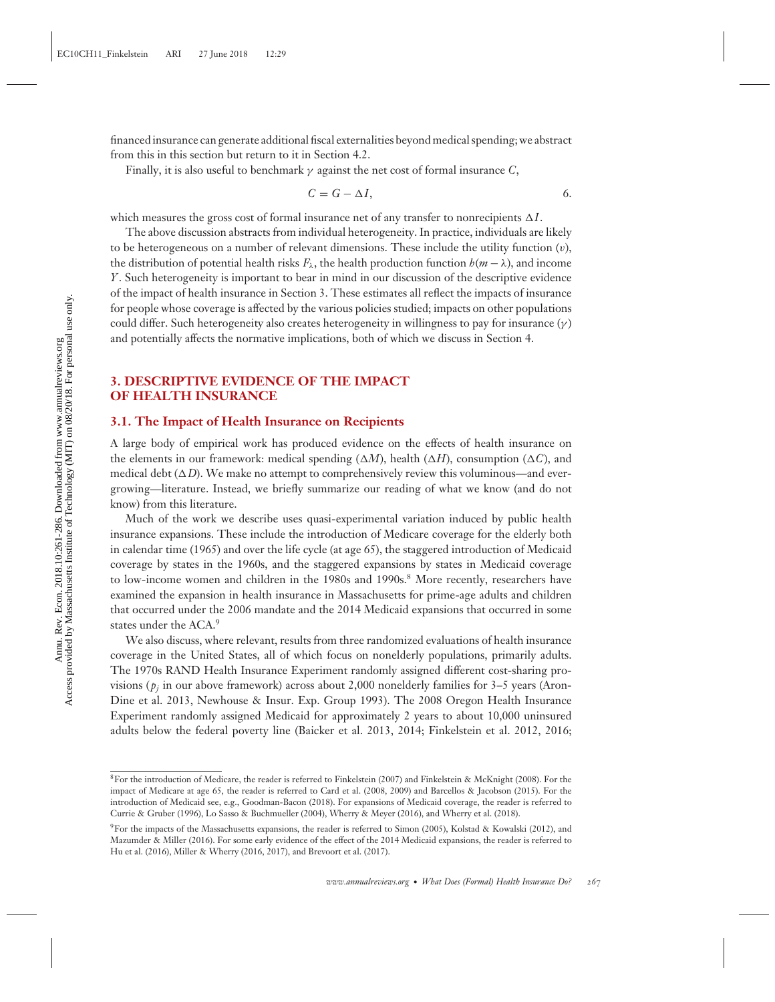financed insurance can generate additional fiscal externalities beyond medical spending; we abstract from this in this section but return to it in Section 4.2.

Finally, it is also useful to benchmark  $\gamma$  against the net cost of formal insurance *C*,

$$
C = G - \Delta I, \tag{6}
$$

which measures the gross cost of formal insurance net of any transfer to nonrecipients  $\Delta I$ .

The above discussion abstracts from individual heterogeneity. In practice, individuals are likely to be heterogeneous on a number of relevant dimensions. These include the utility function  $(v)$ , the distribution of potential health risks  $F_\lambda$ , the health production function  $h(m - \lambda)$ , and income *Y*. Such heterogeneity is important to bear in mind in our discussion of the descriptive evidence of the impact of health insurance in Section 3. These estimates all reflect the impacts of insurance for people whose coverage is affected by the various policies studied; impacts on other populations could differ. Such heterogeneity also creates heterogeneity in willingness to pay for insurance  $(\gamma)$ and potentially affects the normative implications, both of which we discuss in Section 4.

### **3. DESCRIPTIVE EVIDENCE OF THE IMPACT OF HEALTH INSURANCE**

#### **3.1. The Impact of Health Insurance on Recipients**

A large body of empirical work has produced evidence on the effects of health insurance on the elements in our framework: medical spending  $(\Delta M)$ , health  $(\Delta H)$ , consumption  $(\Delta C)$ , and medical debt  $(\Delta D)$ . We make no attempt to comprehensively review this voluminous—and evergrowing—literature. Instead, we briefly summarize our reading of what we know (and do not know) from this literature.

Much of the work we describe uses quasi-experimental variation induced by public health insurance expansions. These include the introduction of Medicare coverage for the elderly both in calendar time (1965) and over the life cycle (at age 65), the staggered introduction of Medicaid coverage by states in the 1960s, and the staggered expansions by states in Medicaid coverage to low-income women and children in the 1980s and 1990s.<sup>8</sup> More recently, researchers have examined the expansion in health insurance in Massachusetts for prime-age adults and children that occurred under the 2006 mandate and the 2014 Medicaid expansions that occurred in some states under the ACA.9

We also discuss, where relevant, results from three randomized evaluations of health insurance coverage in the United States, all of which focus on nonelderly populations, primarily adults. The 1970s RAND Health Insurance Experiment randomly assigned different cost-sharing provisions ( $p_j$  in our above framework) across about 2,000 nonelderly families for 3–5 years (Aron-Dine et al. 2013, Newhouse & Insur. Exp. Group 1993). The 2008 Oregon Health Insurance Experiment randomly assigned Medicaid for approximately 2 years to about 10,000 uninsured adults below the federal poverty line (Baicker et al. 2013, 2014; Finkelstein et al. 2012, 2016;

<sup>8</sup>For the introduction of Medicare, the reader is referred to Finkelstein (2007) and Finkelstein & McKnight (2008). For the impact of Medicare at age 65, the reader is referred to Card et al. (2008, 2009) and Barcellos & Jacobson (2015). For the introduction of Medicaid see, e.g., Goodman-Bacon (2018). For expansions of Medicaid coverage, the reader is referred to Currie & Gruber (1996), Lo Sasso & Buchmueller (2004), Wherry & Meyer (2016), and Wherry et al. (2018).

<sup>&</sup>lt;sup>9</sup>For the impacts of the Massachusetts expansions, the reader is referred to Simon (2005), Kolstad & Kowalski (2012), and Mazumder & Miller (2016). For some early evidence of the effect of the 2014 Medicaid expansions, the reader is referred to Hu et al. (2016), Miller & Wherry (2016, 2017), and Brevoort et al. (2017).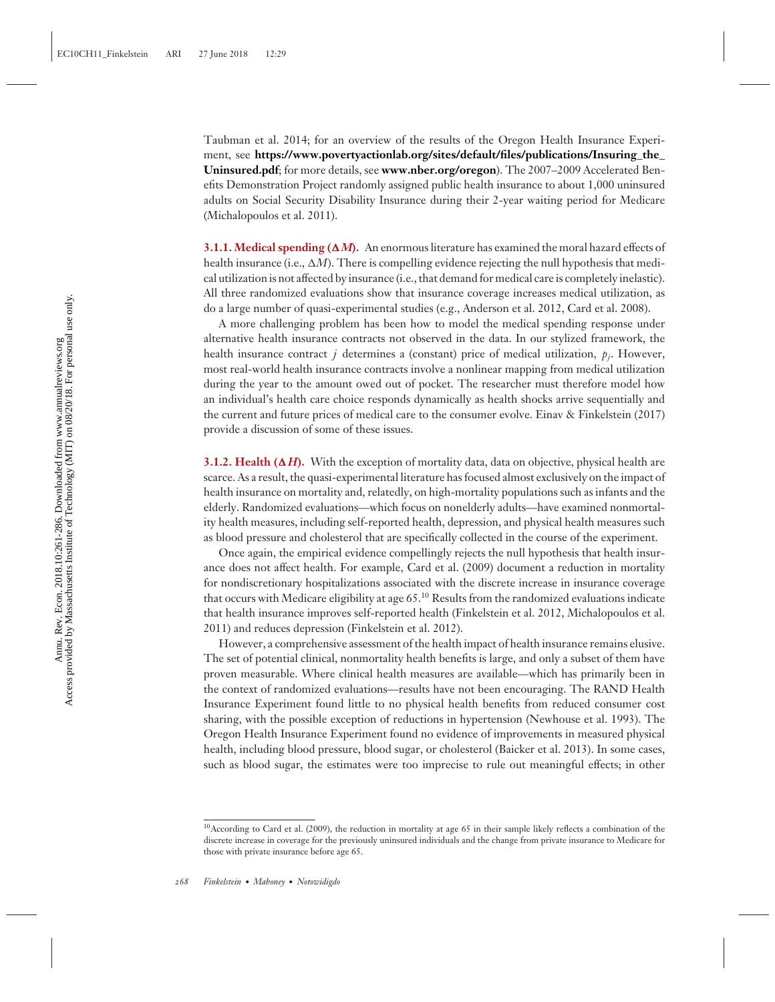Taubman et al. 2014; for an overview of the results of the Oregon Health Insurance Experiment, see **[https://www.povertyactionlab.org/sites/default/files/publications/Insuring\\_the\\_](https://www.povertyactionlab.org/sites/default/files/publications/Insuring_the_Uninsured.pdf) [Uninsured.pdf](https://www.povertyactionlab.org/sites/default/files/publications/Insuring_the_Uninsured.pdf)**; for more details, see **[www.nber.org/oregon](https://www.nber.org/oregon)**). The 2007–2009 Accelerated Benefits Demonstration Project randomly assigned public health insurance to about 1,000 uninsured adults on Social Security Disability Insurance during their 2-year waiting period for Medicare (Michalopoulos et al. 2011).

**3.1.1. Medical spending (** $\Delta M$ **).** An enormous literature has examined the moral hazard effects of health insurance (i.e.,  $\Delta M$ ). There is compelling evidence rejecting the null hypothesis that medical utilization is not affected by insurance (i.e., that demand for medical care is completely inelastic). All three randomized evaluations show that insurance coverage increases medical utilization, as do a large number of quasi-experimental studies (e.g., Anderson et al. 2012, Card et al. 2008).

A more challenging problem has been how to model the medical spending response under alternative health insurance contracts not observed in the data. In our stylized framework, the health insurance contract  $j$  determines a (constant) price of medical utilization,  $p_j$ . However, most real-world health insurance contracts involve a nonlinear mapping from medical utilization during the year to the amount owed out of pocket. The researcher must therefore model how an individual's health care choice responds dynamically as health shocks arrive sequentially and the current and future prices of medical care to the consumer evolve. Einav & Finkelstein (2017) provide a discussion of some of these issues.

**3.1.2. Health (** $\Delta H$ **).** With the exception of mortality data, data on objective, physical health are scarce. As a result, the quasi-experimental literature has focused almost exclusively on the impact of health insurance on mortality and, relatedly, on high-mortality populations such as infants and the elderly. Randomized evaluations—which focus on nonelderly adults—have examined nonmortality health measures, including self-reported health, depression, and physical health measures such as blood pressure and cholesterol that are specifically collected in the course of the experiment.

Once again, the empirical evidence compellingly rejects the null hypothesis that health insurance does not affect health. For example, Card et al. (2009) document a reduction in mortality for nondiscretionary hospitalizations associated with the discrete increase in insurance coverage that occurs with Medicare eligibility at age 65.<sup>10</sup> Results from the randomized evaluations indicate that health insurance improves self-reported health (Finkelstein et al. 2012, Michalopoulos et al. 2011) and reduces depression (Finkelstein et al. 2012).

However, a comprehensive assessment of the health impact of health insurance remains elusive. The set of potential clinical, nonmortality health benefits is large, and only a subset of them have proven measurable. Where clinical health measures are available—which has primarily been in the context of randomized evaluations—results have not been encouraging. The RAND Health Insurance Experiment found little to no physical health benefits from reduced consumer cost sharing, with the possible exception of reductions in hypertension (Newhouse et al. 1993). The Oregon Health Insurance Experiment found no evidence of improvements in measured physical health, including blood pressure, blood sugar, or cholesterol (Baicker et al. 2013). In some cases, such as blood sugar, the estimates were too imprecise to rule out meaningful effects; in other

<sup>&</sup>lt;sup>10</sup>According to Card et al. (2009), the reduction in mortality at age 65 in their sample likely reflects a combination of the discrete increase in coverage for the previously uninsured individuals and the change from private insurance to Medicare for those with private insurance before age 65.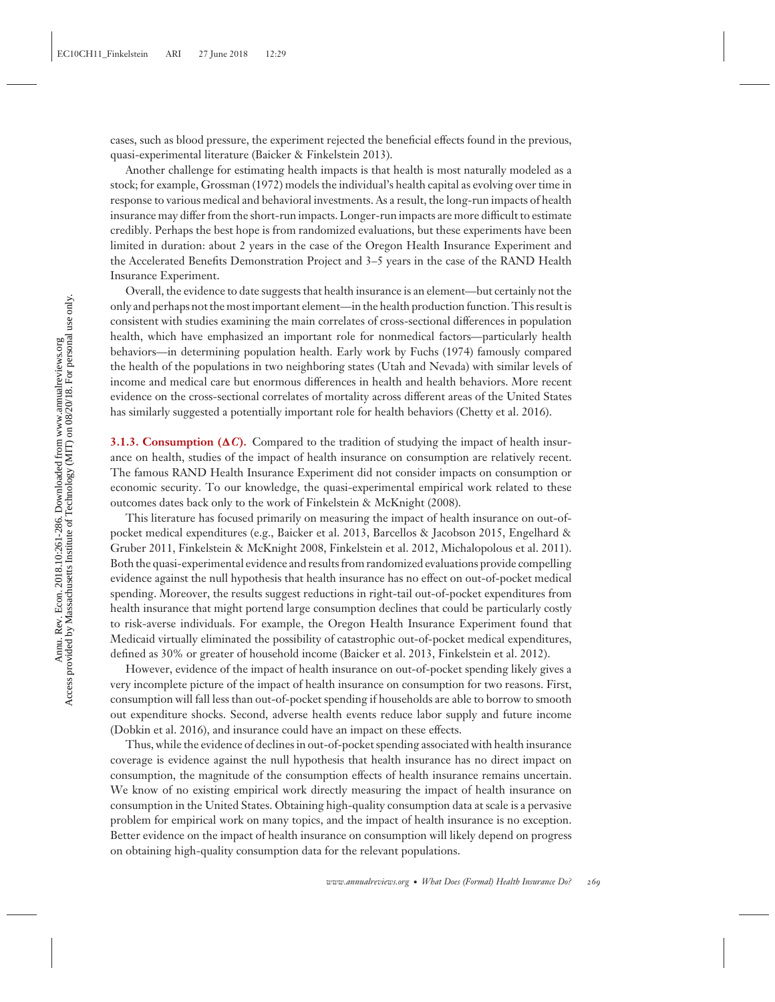cases, such as blood pressure, the experiment rejected the beneficial effects found in the previous, quasi-experimental literature (Baicker & Finkelstein 2013).

Another challenge for estimating health impacts is that health is most naturally modeled as a stock; for example, Grossman (1972) models the individual's health capital as evolving over time in response to various medical and behavioral investments. As a result, the long-run impacts of health insurance may differ from the short-run impacts. Longer-run impacts are more difficult to estimate credibly. Perhaps the best hope is from randomized evaluations, but these experiments have been limited in duration: about 2 years in the case of the Oregon Health Insurance Experiment and the Accelerated Benefits Demonstration Project and 3–5 years in the case of the RAND Health Insurance Experiment.

Overall, the evidence to date suggests that health insurance is an element—but certainly not the only and perhaps not the most important element—in the health production function. This result is consistent with studies examining the main correlates of cross-sectional differences in population health, which have emphasized an important role for nonmedical factors—particularly health behaviors—in determining population health. Early work by Fuchs (1974) famously compared the health of the populations in two neighboring states (Utah and Nevada) with similar levels of income and medical care but enormous differences in health and health behaviors. More recent evidence on the cross-sectional correlates of mortality across different areas of the United States has similarly suggested a potentially important role for health behaviors (Chetty et al. 2016).

**3.1.3. Consumption (** $\Delta C$ **).** Compared to the tradition of studying the impact of health insurance on health, studies of the impact of health insurance on consumption are relatively recent. The famous RAND Health Insurance Experiment did not consider impacts on consumption or economic security. To our knowledge, the quasi-experimental empirical work related to these outcomes dates back only to the work of Finkelstein & McKnight (2008).

This literature has focused primarily on measuring the impact of health insurance on out-ofpocket medical expenditures (e.g., Baicker et al. 2013, Barcellos & Jacobson 2015, Engelhard & Gruber 2011, Finkelstein & McKnight 2008, Finkelstein et al. 2012, Michalopolous et al. 2011). Both the quasi-experimental evidence and results from randomized evaluations provide compelling evidence against the null hypothesis that health insurance has no effect on out-of-pocket medical spending. Moreover, the results suggest reductions in right-tail out-of-pocket expenditures from health insurance that might portend large consumption declines that could be particularly costly to risk-averse individuals. For example, the Oregon Health Insurance Experiment found that Medicaid virtually eliminated the possibility of catastrophic out-of-pocket medical expenditures, defined as 30% or greater of household income (Baicker et al. 2013, Finkelstein et al. 2012).

However, evidence of the impact of health insurance on out-of-pocket spending likely gives a very incomplete picture of the impact of health insurance on consumption for two reasons. First, consumption will fall less than out-of-pocket spending if households are able to borrow to smooth out expenditure shocks. Second, adverse health events reduce labor supply and future income (Dobkin et al. 2016), and insurance could have an impact on these effects.

Thus, while the evidence of declines in out-of-pocket spending associated with health insurance coverage is evidence against the null hypothesis that health insurance has no direct impact on consumption, the magnitude of the consumption effects of health insurance remains uncertain. We know of no existing empirical work directly measuring the impact of health insurance on consumption in the United States. Obtaining high-quality consumption data at scale is a pervasive problem for empirical work on many topics, and the impact of health insurance is no exception. Better evidence on the impact of health insurance on consumption will likely depend on progress on obtaining high-quality consumption data for the relevant populations.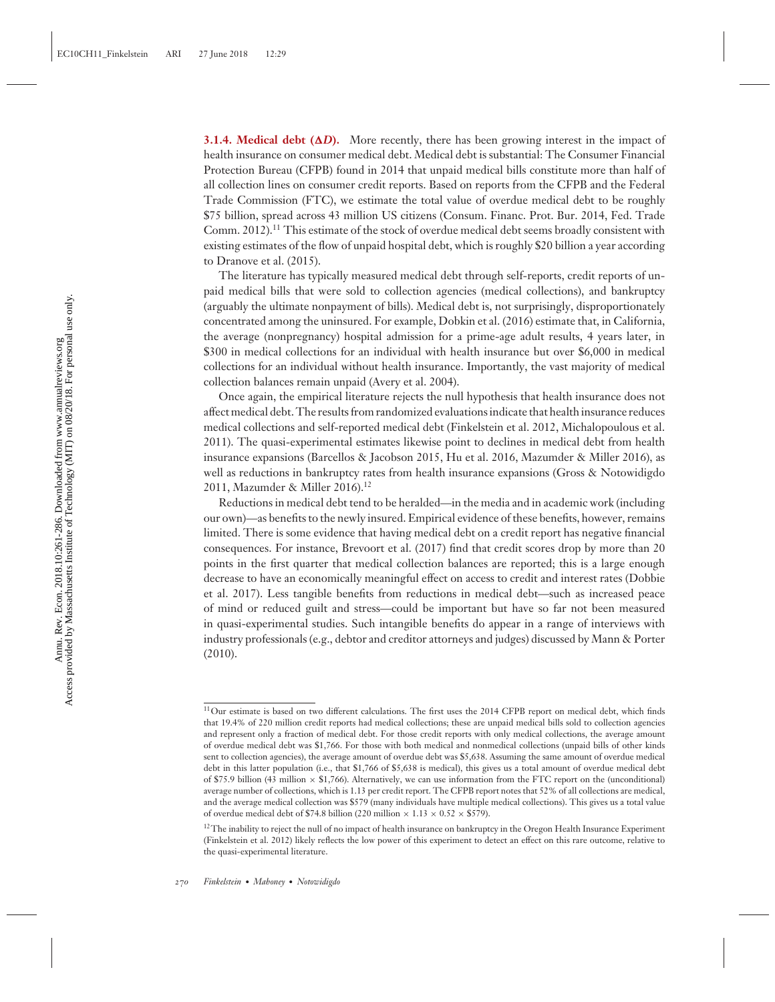**3.1.4. Medical debt**  $(\Delta D)$ **.** More recently, there has been growing interest in the impact of health insurance on consumer medical debt. Medical debt is substantial: The Consumer Financial Protection Bureau (CFPB) found in 2014 that unpaid medical bills constitute more than half of all collection lines on consumer credit reports. Based on reports from the CFPB and the Federal Trade Commission (FTC), we estimate the total value of overdue medical debt to be roughly \$75 billion, spread across 43 million US citizens (Consum. Financ. Prot. Bur. 2014, Fed. Trade Comm. 2012).11 This estimate of the stock of overdue medical debt seems broadly consistent with existing estimates of the flow of unpaid hospital debt, which is roughly \$20 billion a year according to Dranove et al. (2015).

The literature has typically measured medical debt through self-reports, credit reports of unpaid medical bills that were sold to collection agencies (medical collections), and bankruptcy (arguably the ultimate nonpayment of bills). Medical debt is, not surprisingly, disproportionately concentrated among the uninsured. For example, Dobkin et al. (2016) estimate that, in California, the average (nonpregnancy) hospital admission for a prime-age adult results, 4 years later, in \$300 in medical collections for an individual with health insurance but over \$6,000 in medical collections for an individual without health insurance. Importantly, the vast majority of medical collection balances remain unpaid (Avery et al. 2004).

Once again, the empirical literature rejects the null hypothesis that health insurance does not affect medical debt. The results from randomized evaluations indicate that health insurance reduces medical collections and self-reported medical debt (Finkelstein et al. 2012, Michalopoulous et al. 2011). The quasi-experimental estimates likewise point to declines in medical debt from health insurance expansions (Barcellos & Jacobson 2015, Hu et al. 2016, Mazumder & Miller 2016), as well as reductions in bankruptcy rates from health insurance expansions (Gross & Notowidigdo 2011, Mazumder & Miller 2016).<sup>12</sup>

Reductions in medical debt tend to be heralded—in the media and in academic work (including our own)—as benefits to the newly insured. Empirical evidence of these benefits, however, remains limited. There is some evidence that having medical debt on a credit report has negative financial consequences. For instance, Brevoort et al. (2017) find that credit scores drop by more than 20 points in the first quarter that medical collection balances are reported; this is a large enough decrease to have an economically meaningful effect on access to credit and interest rates (Dobbie et al. 2017). Less tangible benefits from reductions in medical debt—such as increased peace of mind or reduced guilt and stress—could be important but have so far not been measured in quasi-experimental studies. Such intangible benefits do appear in a range of interviews with industry professionals (e.g., debtor and creditor attorneys and judges) discussed by Mann & Porter (2010).

<sup>11</sup>Our estimate is based on two different calculations. The first uses the 2014 CFPB report on medical debt, which finds that 19.4% of 220 million credit reports had medical collections; these are unpaid medical bills sold to collection agencies and represent only a fraction of medical debt. For those credit reports with only medical collections, the average amount of overdue medical debt was \$1,766. For those with both medical and nonmedical collections (unpaid bills of other kinds sent to collection agencies), the average amount of overdue debt was \$5,638. Assuming the same amount of overdue medical debt in this latter population (i.e., that \$1,766 of \$5,638 is medical), this gives us a total amount of overdue medical debt of \$75.9 billion (43 million  $\times$  \$1,766). Alternatively, we can use information from the FTC report on the (unconditional) average number of collections, which is 1.13 per credit report. The CFPB report notes that 52% of all collections are medical, and the average medical collection was \$579 (many individuals have multiple medical collections). This gives us a total value of overdue medical debt of \$74.8 billion (220 million  $\times$  1.13  $\times$  0.52  $\times$  \$579).

<sup>&</sup>lt;sup>12</sup>The inability to reject the null of no impact of health insurance on bankruptcy in the Oregon Health Insurance Experiment (Finkelstein et al. 2012) likely reflects the low power of this experiment to detect an effect on this rare outcome, relative to the quasi-experimental literature.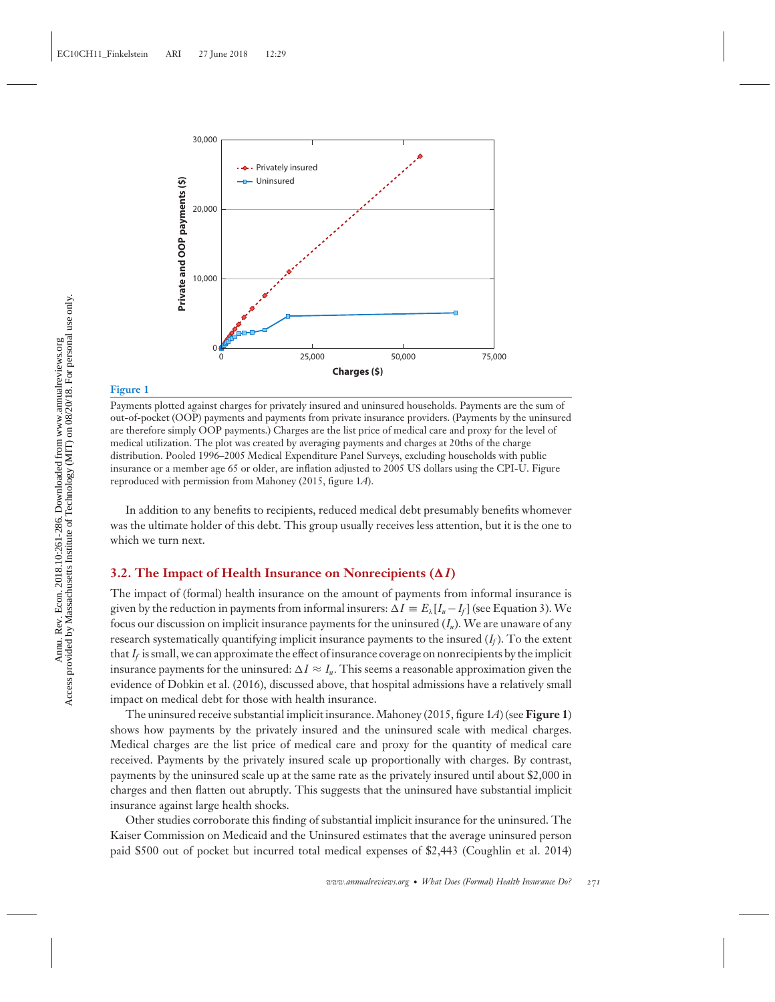

#### **Figure 1**

Payments plotted against charges for privately insured and uninsured households. Payments are the sum of out-of-pocket (OOP) payments and payments from private insurance providers. (Payments by the uninsured are therefore simply OOP payments.) Charges are the list price of medical care and proxy for the level of medical utilization. The plot was created by averaging payments and charges at 20ths of the charge distribution. Pooled 1996–2005 Medical Expenditure Panel Surveys, excluding households with public insurance or a member age 65 or older, are inflation adjusted to 2005 US dollars using the CPI-U. Figure reproduced with permission from Mahoney (2015, figure 1*A*).

In addition to any benefits to recipients, reduced medical debt presumably benefits whomever was the ultimate holder of this debt. This group usually receives less attention, but it is the one to which we turn next.

## **3.2. The Impact of Health Insurance on Nonrecipients (** $\Delta I$ **)**

The impact of (formal) health insurance on the amount of payments from informal insurance is given by the reduction in payments from informal insurers:  $\Delta I = E_\lambda [I_u - I_f]$  (see Equation 3). We focus our discussion on implicit insurance payments for the uninsured (*Iu*). We are unaware of any research systematically quantifying implicit insurance payments to the insured  $(I_f)$ . To the extent that *If* is small, we can approximate the effect of insurance coverage on nonrecipients by the implicit insurance payments for the uninsured:  $\Delta I \approx I_u$ . This seems a reasonable approximation given the evidence of Dobkin et al. (2016), discussed above, that hospital admissions have a relatively small impact on medical debt for those with health insurance.

The uninsured receive substantial implicit insurance. Mahoney (2015, figure 1*A*) (see **Figure 1**) shows how payments by the privately insured and the uninsured scale with medical charges. Medical charges are the list price of medical care and proxy for the quantity of medical care received. Payments by the privately insured scale up proportionally with charges. By contrast, payments by the uninsured scale up at the same rate as the privately insured until about \$2,000 in charges and then flatten out abruptly. This suggests that the uninsured have substantial implicit insurance against large health shocks.

Other studies corroborate this finding of substantial implicit insurance for the uninsured. The Kaiser Commission on Medicaid and the Uninsured estimates that the average uninsured person paid \$500 out of pocket but incurred total medical expenses of \$2,443 (Coughlin et al. 2014)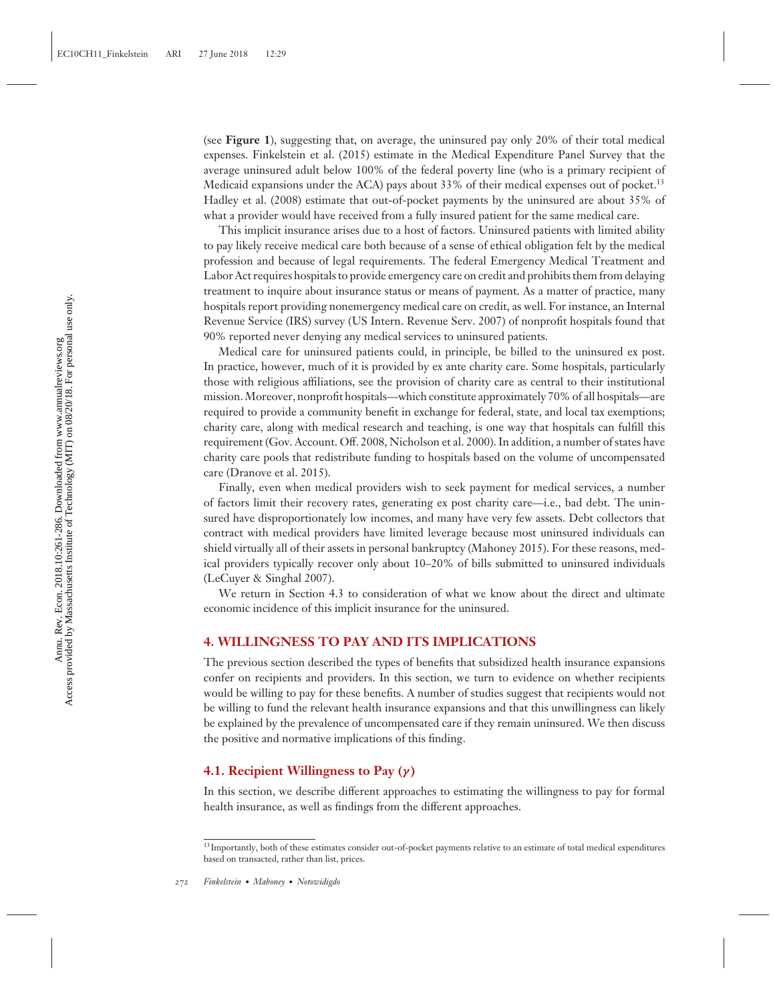(see **Figure 1**), suggesting that, on average, the uninsured pay only 20% of their total medical expenses. Finkelstein et al. (2015) estimate in the Medical Expenditure Panel Survey that the average uninsured adult below 100% of the federal poverty line (who is a primary recipient of Medicaid expansions under the ACA) pays about 33% of their medical expenses out of pocket.<sup>13</sup> Hadley et al. (2008) estimate that out-of-pocket payments by the uninsured are about 35% of what a provider would have received from a fully insured patient for the same medical care.

This implicit insurance arises due to a host of factors. Uninsured patients with limited ability to pay likely receive medical care both because of a sense of ethical obligation felt by the medical profession and because of legal requirements. The federal Emergency Medical Treatment and Labor Act requires hospitals to provide emergency care on credit and prohibits them from delaying treatment to inquire about insurance status or means of payment. As a matter of practice, many hospitals report providing nonemergency medical care on credit, as well. For instance, an Internal Revenue Service (IRS) survey (US Intern. Revenue Serv. 2007) of nonprofit hospitals found that 90% reported never denying any medical services to uninsured patients.

Medical care for uninsured patients could, in principle, be billed to the uninsured ex post. In practice, however, much of it is provided by ex ante charity care. Some hospitals, particularly those with religious affiliations, see the provision of charity care as central to their institutional mission. Moreover, nonprofit hospitals—which constitute approximately 70% of all hospitals—are required to provide a community benefit in exchange for federal, state, and local tax exemptions; charity care, along with medical research and teaching, is one way that hospitals can fulfill this requirement (Gov. Account. Off. 2008, Nicholson et al. 2000). In addition, a number of states have charity care pools that redistribute funding to hospitals based on the volume of uncompensated care (Dranove et al. 2015).

Finally, even when medical providers wish to seek payment for medical services, a number of factors limit their recovery rates, generating ex post charity care—i.e., bad debt. The uninsured have disproportionately low incomes, and many have very few assets. Debt collectors that contract with medical providers have limited leverage because most uninsured individuals can shield virtually all of their assets in personal bankruptcy (Mahoney 2015). For these reasons, medical providers typically recover only about 10–20% of bills submitted to uninsured individuals (LeCuyer & Singhal 2007).

We return in Section 4.3 to consideration of what we know about the direct and ultimate economic incidence of this implicit insurance for the uninsured.

### **4. WILLINGNESS TO PAY AND ITS IMPLICATIONS**

The previous section described the types of benefits that subsidized health insurance expansions confer on recipients and providers. In this section, we turn to evidence on whether recipients would be willing to pay for these benefits. A number of studies suggest that recipients would not be willing to fund the relevant health insurance expansions and that this unwillingness can likely be explained by the prevalence of uncompensated care if they remain uninsured. We then discuss the positive and normative implications of this finding.

#### **4.1. Recipient Willingness to Pay (***γ* **)**

In this section, we describe different approaches to estimating the willingness to pay for formal health insurance, as well as findings from the different approaches.

<sup>&</sup>lt;sup>13</sup> Importantly, both of these estimates consider out-of-pocket payments relative to an estimate of total medical expenditures based on transacted, rather than list, prices.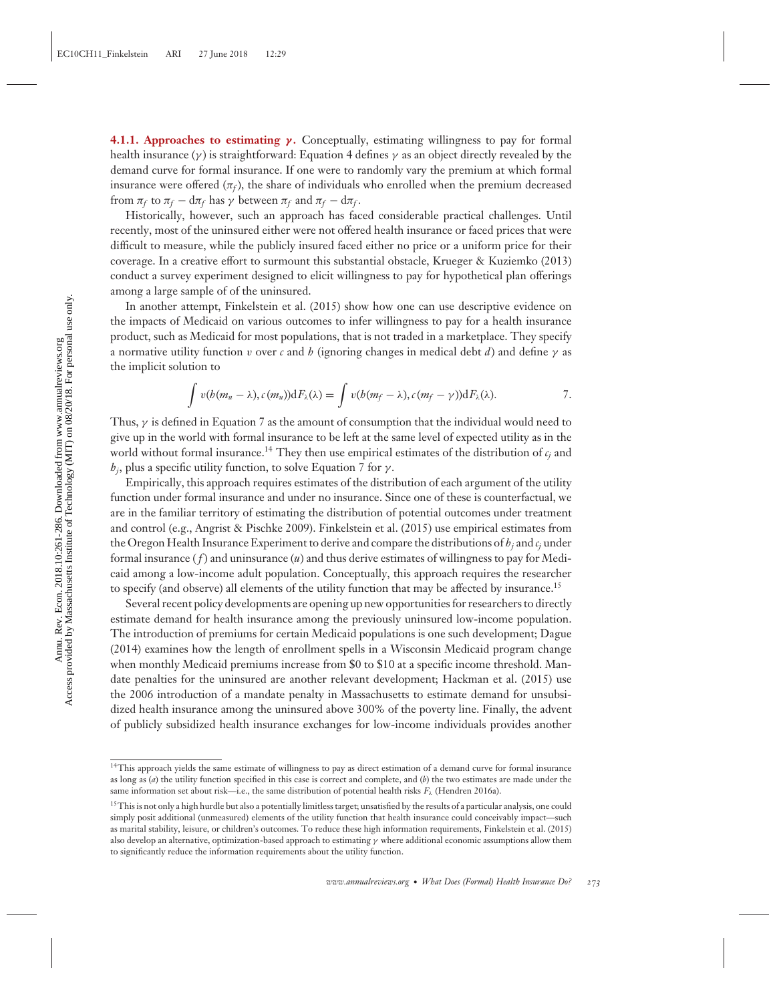**4.1.1. Approaches to estimating** *γ* **.** Conceptually, estimating willingness to pay for formal health insurance ( $\gamma$ ) is straightforward: Equation 4 defines  $\gamma$  as an object directly revealed by the demand curve for formal insurance. If one were to randomly vary the premium at which formal insurance were offered  $(\pi_f)$ , the share of individuals who enrolled when the premium decreased from  $\pi_f$  to  $\pi_f - d\pi_f$  has  $\gamma$  between  $\pi_f$  and  $\pi_f - d\pi_f$ .

Historically, however, such an approach has faced considerable practical challenges. Until recently, most of the uninsured either were not offered health insurance or faced prices that were difficult to measure, while the publicly insured faced either no price or a uniform price for their coverage. In a creative effort to surmount this substantial obstacle, Krueger & Kuziemko (2013) conduct a survey experiment designed to elicit willingness to pay for hypothetical plan offerings among a large sample of of the uninsured.

In another attempt, Finkelstein et al. (2015) show how one can use descriptive evidence on the impacts of Medicaid on various outcomes to infer willingness to pay for a health insurance product, such as Medicaid for most populations, that is not traded in a marketplace. They specify a normative utility function v over *c* and *h* (ignoring changes in medical debt *d*) and define γ as the implicit solution to

$$
\int v(b(m_u-\lambda),c(m_u))\mathrm{d}F_{\lambda}(\lambda)=\int v(b(m_f-\lambda),c(m_f-\gamma))\mathrm{d}F_{\lambda}(\lambda).
$$
7.

Thus,  $\gamma$  is defined in Equation 7 as the amount of consumption that the individual would need to give up in the world with formal insurance to be left at the same level of expected utility as in the world without formal insurance.<sup>14</sup> They then use empirical estimates of the distribution of  $c_i$  and  $h_i$ , plus a specific utility function, to solve Equation 7 for  $\gamma$ .

Empirically, this approach requires estimates of the distribution of each argument of the utility function under formal insurance and under no insurance. Since one of these is counterfactual, we are in the familiar territory of estimating the distribution of potential outcomes under treatment and control (e.g., Angrist & Pischke 2009). Finkelstein et al. (2015) use empirical estimates from the Oregon Health Insurance Experiment to derive and compare the distributions of  $h_j$  and  $c_j$  under formal insurance  $(f)$  and uninsurance  $(u)$  and thus derive estimates of willingness to pay for Medicaid among a low-income adult population. Conceptually, this approach requires the researcher to specify (and observe) all elements of the utility function that may be affected by insurance.15

Several recent policy developments are opening up new opportunities for researchers to directly estimate demand for health insurance among the previously uninsured low-income population. The introduction of premiums for certain Medicaid populations is one such development; Dague (2014) examines how the length of enrollment spells in a Wisconsin Medicaid program change when monthly Medicaid premiums increase from \$0 to \$10 at a specific income threshold. Mandate penalties for the uninsured are another relevant development; Hackman et al. (2015) use the 2006 introduction of a mandate penalty in Massachusetts to estimate demand for unsubsidized health insurance among the uninsured above 300% of the poverty line. Finally, the advent of publicly subsidized health insurance exchanges for low-income individuals provides another

<sup>&</sup>lt;sup>14</sup>This approach yields the same estimate of willingness to pay as direct estimation of a demand curve for formal insurance as long as (*a*) the utility function specified in this case is correct and complete, and (*b*) the two estimates are made under the same information set about risk—i.e., the same distribution of potential health risks *F*<sup>λ</sup> (Hendren 2016a).

<sup>&</sup>lt;sup>15</sup>This is not only a high hurdle but also a potentially limitless target; unsatisfied by the results of a particular analysis, one could simply posit additional (unmeasured) elements of the utility function that health insurance could conceivably impact—such as marital stability, leisure, or children's outcomes. To reduce these high information requirements, Finkelstein et al. (2015) also develop an alternative, optimization-based approach to estimating  $\gamma$  where additional economic assumptions allow them to significantly reduce the information requirements about the utility function.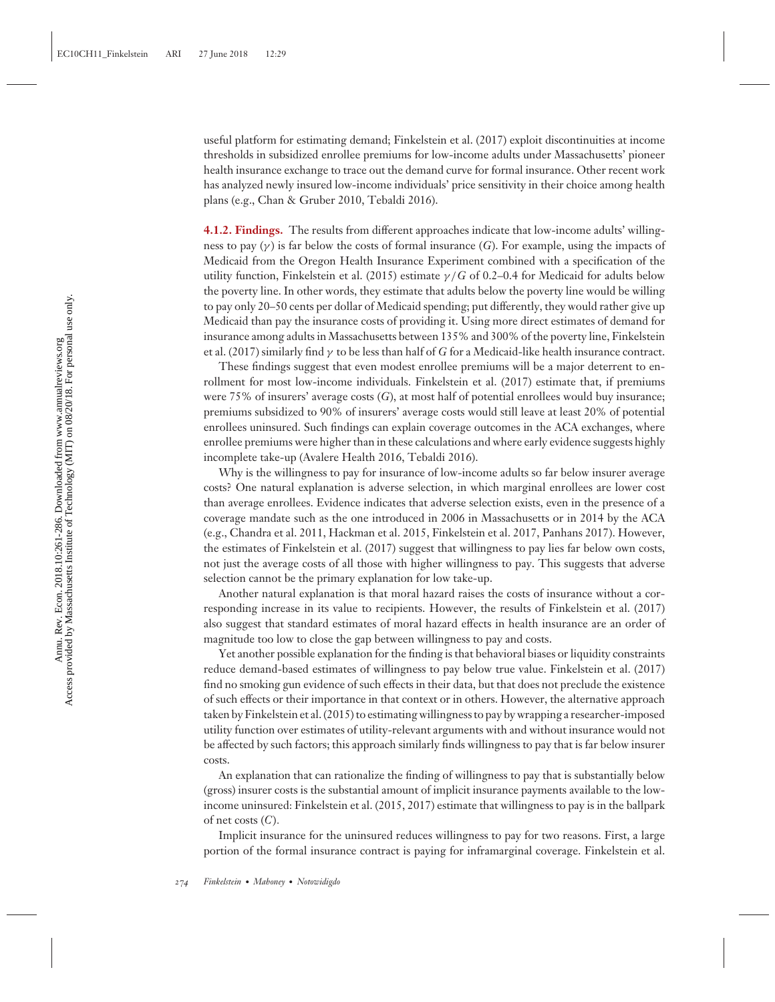useful platform for estimating demand; Finkelstein et al. (2017) exploit discontinuities at income thresholds in subsidized enrollee premiums for low-income adults under Massachusetts' pioneer health insurance exchange to trace out the demand curve for formal insurance. Other recent work has analyzed newly insured low-income individuals' price sensitivity in their choice among health plans (e.g., Chan & Gruber 2010, Tebaldi 2016).

**4.1.2. Findings.** The results from different approaches indicate that low-income adults' willingness to pay  $(\gamma)$  is far below the costs of formal insurance (*G*). For example, using the impacts of Medicaid from the Oregon Health Insurance Experiment combined with a specification of the utility function, Finkelstein et al. (2015) estimate  $\gamma/G$  of 0.2–0.4 for Medicaid for adults below the poverty line. In other words, they estimate that adults below the poverty line would be willing to pay only 20–50 cents per dollar of Medicaid spending; put differently, they would rather give up Medicaid than pay the insurance costs of providing it. Using more direct estimates of demand for insurance among adults in Massachusetts between 135% and 300% of the poverty line, Finkelstein et al. (2017) similarly find γ to be less than half of *G* for a Medicaid-like health insurance contract.

These findings suggest that even modest enrollee premiums will be a major deterrent to enrollment for most low-income individuals. Finkelstein et al. (2017) estimate that, if premiums were 75% of insurers' average costs (*G*), at most half of potential enrollees would buy insurance; premiums subsidized to 90% of insurers' average costs would still leave at least 20% of potential enrollees uninsured. Such findings can explain coverage outcomes in the ACA exchanges, where enrollee premiums were higher than in these calculations and where early evidence suggests highly incomplete take-up (Avalere Health 2016, Tebaldi 2016).

Why is the willingness to pay for insurance of low-income adults so far below insurer average costs? One natural explanation is adverse selection, in which marginal enrollees are lower cost than average enrollees. Evidence indicates that adverse selection exists, even in the presence of a coverage mandate such as the one introduced in 2006 in Massachusetts or in 2014 by the ACA (e.g., Chandra et al. 2011, Hackman et al. 2015, Finkelstein et al. 2017, Panhans 2017). However, the estimates of Finkelstein et al. (2017) suggest that willingness to pay lies far below own costs, not just the average costs of all those with higher willingness to pay. This suggests that adverse selection cannot be the primary explanation for low take-up.

Another natural explanation is that moral hazard raises the costs of insurance without a corresponding increase in its value to recipients. However, the results of Finkelstein et al. (2017) also suggest that standard estimates of moral hazard effects in health insurance are an order of magnitude too low to close the gap between willingness to pay and costs.

Yet another possible explanation for the finding is that behavioral biases or liquidity constraints reduce demand-based estimates of willingness to pay below true value. Finkelstein et al. (2017) find no smoking gun evidence of such effects in their data, but that does not preclude the existence of such effects or their importance in that context or in others. However, the alternative approach taken by Finkelstein et al. (2015) to estimating willingness to pay by wrapping a researcher-imposed utility function over estimates of utility-relevant arguments with and without insurance would not be affected by such factors; this approach similarly finds willingness to pay that is far below insurer costs.

An explanation that can rationalize the finding of willingness to pay that is substantially below (gross) insurer costs is the substantial amount of implicit insurance payments available to the lowincome uninsured: Finkelstein et al. (2015, 2017) estimate that willingness to pay is in the ballpark of net costs (*C*).

Implicit insurance for the uninsured reduces willingness to pay for two reasons. First, a large portion of the formal insurance contract is paying for inframarginal coverage. Finkelstein et al.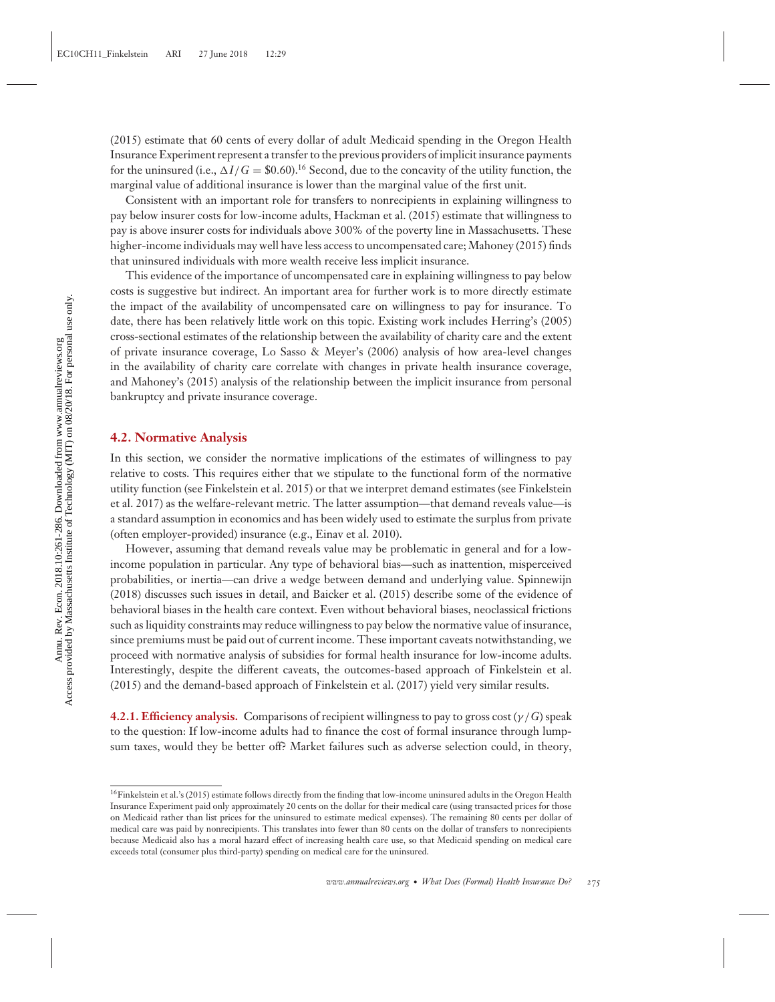(2015) estimate that 60 cents of every dollar of adult Medicaid spending in the Oregon Health Insurance Experiment represent a transfer to the previous providers of implicit insurance payments for the uninsured (i.e.,  $\Delta I/G = $0.60$ ).<sup>16</sup> Second, due to the concavity of the utility function, the marginal value of additional insurance is lower than the marginal value of the first unit.

Consistent with an important role for transfers to nonrecipients in explaining willingness to pay below insurer costs for low-income adults, Hackman et al. (2015) estimate that willingness to pay is above insurer costs for individuals above 300% of the poverty line in Massachusetts. These higher-income individuals may well have less access to uncompensated care; Mahoney (2015) finds that uninsured individuals with more wealth receive less implicit insurance.

This evidence of the importance of uncompensated care in explaining willingness to pay below costs is suggestive but indirect. An important area for further work is to more directly estimate the impact of the availability of uncompensated care on willingness to pay for insurance. To date, there has been relatively little work on this topic. Existing work includes Herring's (2005) cross-sectional estimates of the relationship between the availability of charity care and the extent of private insurance coverage, Lo Sasso & Meyer's (2006) analysis of how area-level changes in the availability of charity care correlate with changes in private health insurance coverage, and Mahoney's (2015) analysis of the relationship between the implicit insurance from personal bankruptcy and private insurance coverage.

#### **4.2. Normative Analysis**

In this section, we consider the normative implications of the estimates of willingness to pay relative to costs. This requires either that we stipulate to the functional form of the normative utility function (see Finkelstein et al. 2015) or that we interpret demand estimates (see Finkelstein et al. 2017) as the welfare-relevant metric. The latter assumption—that demand reveals value—is a standard assumption in economics and has been widely used to estimate the surplus from private (often employer-provided) insurance (e.g., Einav et al. 2010).

However, assuming that demand reveals value may be problematic in general and for a lowincome population in particular. Any type of behavioral bias—such as inattention, misperceived probabilities, or inertia—can drive a wedge between demand and underlying value. Spinnewijn (2018) discusses such issues in detail, and Baicker et al. (2015) describe some of the evidence of behavioral biases in the health care context. Even without behavioral biases, neoclassical frictions such as liquidity constraints may reduce willingness to pay below the normative value of insurance, since premiums must be paid out of current income. These important caveats notwithstanding, we proceed with normative analysis of subsidies for formal health insurance for low-income adults. Interestingly, despite the different caveats, the outcomes-based approach of Finkelstein et al. (2015) and the demand-based approach of Finkelstein et al. (2017) yield very similar results.

**4.2.1. Efficiency analysis.** Comparisons of recipient willingness to pay to gross cost ( $\gamma/G$ ) speak to the question: If low-income adults had to finance the cost of formal insurance through lumpsum taxes, would they be better off? Market failures such as adverse selection could, in theory,

<sup>&</sup>lt;sup>16</sup>Finkelstein et al.'s (2015) estimate follows directly from the finding that low-income uninsured adults in the Oregon Health Insurance Experiment paid only approximately 20 cents on the dollar for their medical care (using transacted prices for those on Medicaid rather than list prices for the uninsured to estimate medical expenses). The remaining 80 cents per dollar of medical care was paid by nonrecipients. This translates into fewer than 80 cents on the dollar of transfers to nonrecipients because Medicaid also has a moral hazard effect of increasing health care use, so that Medicaid spending on medical care exceeds total (consumer plus third-party) spending on medical care for the uninsured.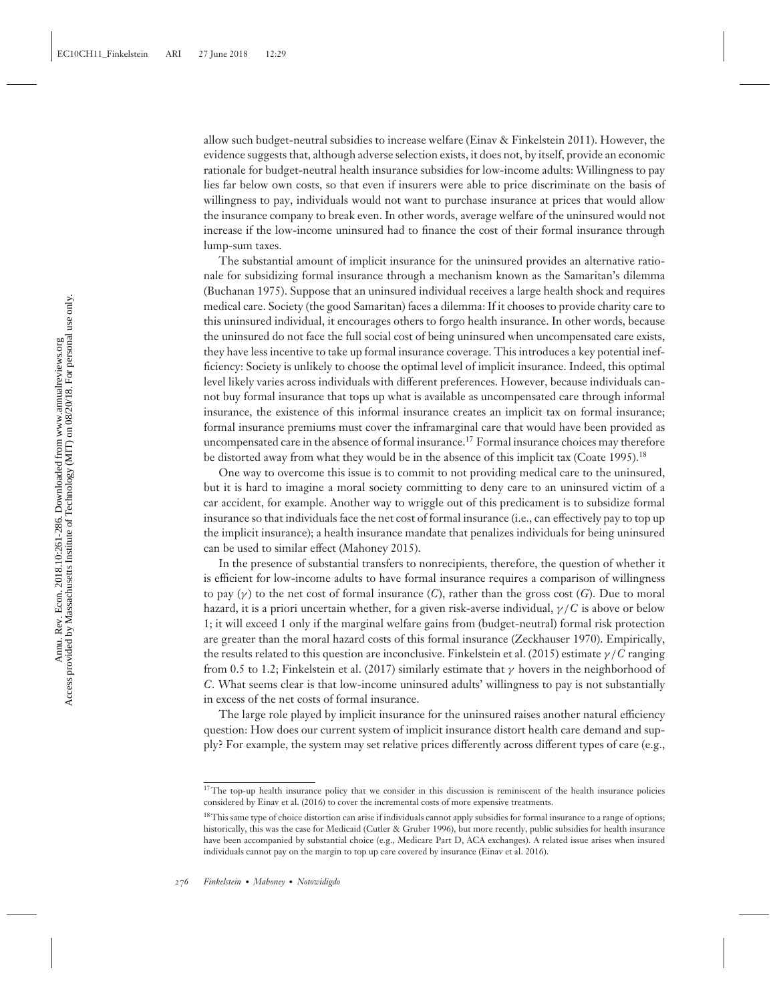allow such budget-neutral subsidies to increase welfare (Einav & Finkelstein 2011). However, the evidence suggests that, although adverse selection exists, it does not, by itself, provide an economic rationale for budget-neutral health insurance subsidies for low-income adults: Willingness to pay lies far below own costs, so that even if insurers were able to price discriminate on the basis of willingness to pay, individuals would not want to purchase insurance at prices that would allow the insurance company to break even. In other words, average welfare of the uninsured would not increase if the low-income uninsured had to finance the cost of their formal insurance through lump-sum taxes.

The substantial amount of implicit insurance for the uninsured provides an alternative rationale for subsidizing formal insurance through a mechanism known as the Samaritan's dilemma (Buchanan 1975). Suppose that an uninsured individual receives a large health shock and requires medical care. Society (the good Samaritan) faces a dilemma: If it chooses to provide charity care to this uninsured individual, it encourages others to forgo health insurance. In other words, because the uninsured do not face the full social cost of being uninsured when uncompensated care exists, they have less incentive to take up formal insurance coverage. This introduces a key potential inefficiency: Society is unlikely to choose the optimal level of implicit insurance. Indeed, this optimal level likely varies across individuals with different preferences. However, because individuals cannot buy formal insurance that tops up what is available as uncompensated care through informal insurance, the existence of this informal insurance creates an implicit tax on formal insurance; formal insurance premiums must cover the inframarginal care that would have been provided as uncompensated care in the absence of formal insurance.<sup>17</sup> Formal insurance choices may therefore be distorted away from what they would be in the absence of this implicit tax (Coate 1995).<sup>18</sup>

One way to overcome this issue is to commit to not providing medical care to the uninsured, but it is hard to imagine a moral society committing to deny care to an uninsured victim of a car accident, for example. Another way to wriggle out of this predicament is to subsidize formal insurance so that individuals face the net cost of formal insurance (i.e., can effectively pay to top up the implicit insurance); a health insurance mandate that penalizes individuals for being uninsured can be used to similar effect (Mahoney 2015).

In the presence of substantial transfers to nonrecipients, therefore, the question of whether it is efficient for low-income adults to have formal insurance requires a comparison of willingness to pay  $(\gamma)$  to the net cost of formal insurance  $(C)$ , rather than the gross cost  $(G)$ . Due to moral hazard, it is a priori uncertain whether, for a given risk-averse individual, γ /*C* is above or below 1; it will exceed 1 only if the marginal welfare gains from (budget-neutral) formal risk protection are greater than the moral hazard costs of this formal insurance (Zeckhauser 1970). Empirically, the results related to this question are inconclusive. Finkelstein et al. (2015) estimate γ /*C* ranging from 0.5 to 1.2; Finkelstein et al. (2017) similarly estimate that  $\gamma$  hovers in the neighborhood of *C*. What seems clear is that low-income uninsured adults' willingness to pay is not substantially in excess of the net costs of formal insurance.

The large role played by implicit insurance for the uninsured raises another natural efficiency question: How does our current system of implicit insurance distort health care demand and supply? For example, the system may set relative prices differently across different types of care (e.g.,

<sup>&</sup>lt;sup>17</sup>The top-up health insurance policy that we consider in this discussion is reminiscent of the health insurance policies considered by Einav et al. (2016) to cover the incremental costs of more expensive treatments.

<sup>&</sup>lt;sup>18</sup>This same type of choice distortion can arise if individuals cannot apply subsidies for formal insurance to a range of options; historically, this was the case for Medicaid (Cutler & Gruber 1996), but more recently, public subsidies for health insurance have been accompanied by substantial choice (e.g., Medicare Part D, ACA exchanges). A related issue arises when insured individuals cannot pay on the margin to top up care covered by insurance (Einav et al. 2016).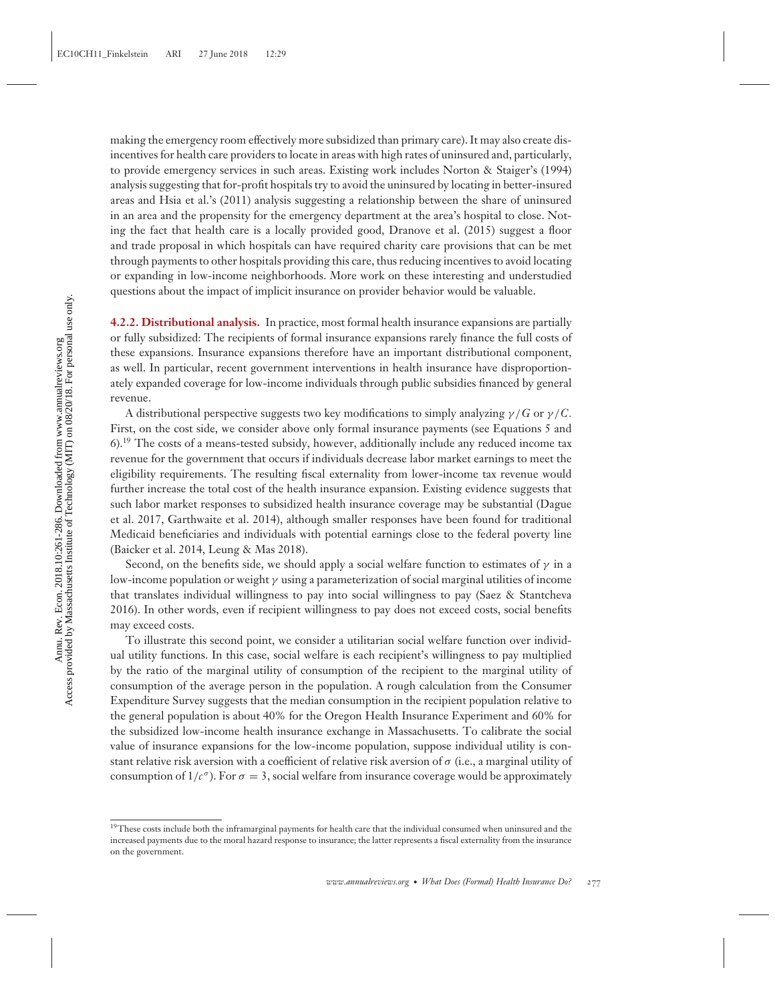making the emergency room effectively more subsidized than primary care). It may also create disincentives for health care providers to locate in areas with high rates of uninsured and, particularly, to provide emergency services in such areas. Existing work includes Norton & Staiger's (1994) analysis suggesting that for-profit hospitals try to avoid the uninsured by locating in better-insured areas and Hsia et al.'s (2011) analysis suggesting a relationship between the share of uninsured in an area and the propensity for the emergency department at the area's hospital to close. Noting the fact that health care is a locally provided good, Dranove et al. (2015) suggest a floor and trade proposal in which hospitals can have required charity care provisions that can be met through payments to other hospitals providing this care, thus reducing incentives to avoid locating or expanding in low-income neighborhoods. More work on these interesting and understudied questions about the impact of implicit insurance on provider behavior would be valuable.

**4.2.2. Distributional analysis.** In practice, most formal health insurance expansions are partially or fully subsidized: The recipients of formal insurance expansions rarely finance the full costs of these expansions. Insurance expansions therefore have an important distributional component, as well. In particular, recent government interventions in health insurance have disproportionately expanded coverage for low-income individuals through public subsidies financed by general revenue.

A distributional perspective suggests two key modifications to simply analyzing γ /*G* or γ /*C*. First, on the cost side, we consider above only formal insurance payments (see Equations 5 and 6).19 The costs of a means-tested subsidy, however, additionally include any reduced income tax revenue for the government that occurs if individuals decrease labor market earnings to meet the eligibility requirements. The resulting fiscal externality from lower-income tax revenue would further increase the total cost of the health insurance expansion. Existing evidence suggests that such labor market responses to subsidized health insurance coverage may be substantial (Dague et al. 2017, Garthwaite et al. 2014), although smaller responses have been found for traditional Medicaid beneficiaries and individuals with potential earnings close to the federal poverty line (Baicker et al. 2014, Leung & Mas 2018).

Second, on the benefits side, we should apply a social welfare function to estimates of  $\gamma$  in a low-income population or weight  $\gamma$  using a parameterization of social marginal utilities of income that translates individual willingness to pay into social willingness to pay (Saez & Stantcheva 2016). In other words, even if recipient willingness to pay does not exceed costs, social benefits may exceed costs.

To illustrate this second point, we consider a utilitarian social welfare function over individual utility functions. In this case, social welfare is each recipient's willingness to pay multiplied by the ratio of the marginal utility of consumption of the recipient to the marginal utility of consumption of the average person in the population. A rough calculation from the Consumer Expenditure Survey suggests that the median consumption in the recipient population relative to the general population is about 40% for the Oregon Health Insurance Experiment and 60% for the subsidized low-income health insurance exchange in Massachusetts. To calibrate the social value of insurance expansions for the low-income population, suppose individual utility is constant relative risk aversion with a coefficient of relative risk aversion of  $\sigma$  (i.e., a marginal utility of consumption of  $1/c^{\sigma}$ ). For  $\sigma = 3$ , social welfare from insurance coverage would be approximately

<sup>&</sup>lt;sup>19</sup>These costs include both the inframarginal payments for health care that the individual consumed when uninsured and the increased payments due to the moral hazard response to insurance; the latter represents a fiscal externality from the insurance on the government.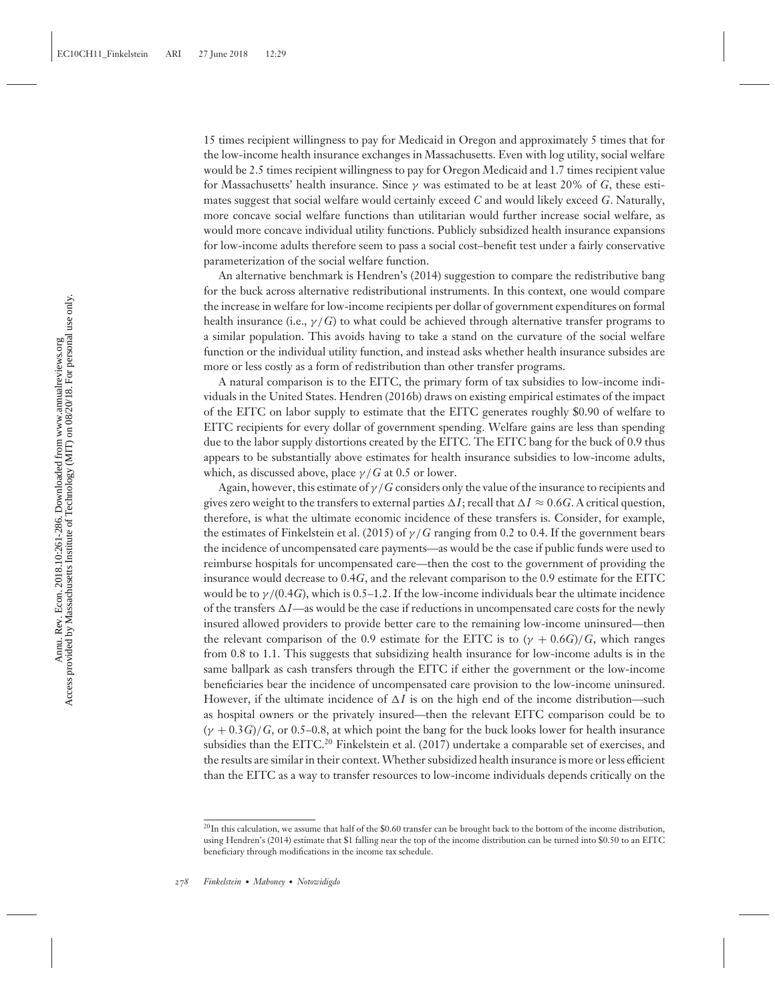15 times recipient willingness to pay for Medicaid in Oregon and approximately 5 times that for the low-income health insurance exchanges in Massachusetts. Even with log utility, social welfare would be 2.5 times recipient willingness to pay for Oregon Medicaid and 1.7 times recipient value for Massachusetts' health insurance. Since γ was estimated to be at least 20% of *G*, these estimates suggest that social welfare would certainly exceed *C* and would likely exceed *G*. Naturally, more concave social welfare functions than utilitarian would further increase social welfare, as would more concave individual utility functions. Publicly subsidized health insurance expansions for low-income adults therefore seem to pass a social cost–benefit test under a fairly conservative parameterization of the social welfare function.

An alternative benchmark is Hendren's (2014) suggestion to compare the redistributive bang for the buck across alternative redistributional instruments. In this context, one would compare the increase in welfare for low-income recipients per dollar of government expenditures on formal health insurance (i.e.,  $\gamma/G$ ) to what could be achieved through alternative transfer programs to a similar population. This avoids having to take a stand on the curvature of the social welfare function or the individual utility function, and instead asks whether health insurance subsides are more or less costly as a form of redistribution than other transfer programs.

A natural comparison is to the EITC, the primary form of tax subsidies to low-income individuals in the United States. Hendren (2016b) draws on existing empirical estimates of the impact of the EITC on labor supply to estimate that the EITC generates roughly \$0.90 of welfare to EITC recipients for every dollar of government spending. Welfare gains are less than spending due to the labor supply distortions created by the EITC. The EITC bang for the buck of 0.9 thus appears to be substantially above estimates for health insurance subsidies to low-income adults, which, as discussed above, place  $\gamma/G$  at 0.5 or lower.

Again, however, this estimate of γ /*G* considers only the value of the insurance to recipients and gives zero weight to the transfers to external parties  $\Delta I$ ; recall that  $\Delta I \approx 0.6$ *G*. A critical question, therefore, is what the ultimate economic incidence of these transfers is. Consider, for example, the estimates of Finkelstein et al. (2015) of γ /*G* ranging from 0.2 to 0.4. If the government bears the incidence of uncompensated care payments—as would be the case if public funds were used to reimburse hospitals for uncompensated care—then the cost to the government of providing the insurance would decrease to 0.4*G*, and the relevant comparison to the 0.9 estimate for the EITC would be to  $\gamma$  /(0.4*G*), which is 0.5–1.2. If the low-income individuals bear the ultimate incidence of the transfers  $\Delta I$ —as would be the case if reductions in uncompensated care costs for the newly insured allowed providers to provide better care to the remaining low-income uninsured—then the relevant comparison of the 0.9 estimate for the EITC is to  $(\gamma + 0.6)$ *G*)/*G*, which ranges from 0.8 to 1.1. This suggests that subsidizing health insurance for low-income adults is in the same ballpark as cash transfers through the EITC if either the government or the low-income beneficiaries bear the incidence of uncompensated care provision to the low-income uninsured. However, if the ultimate incidence of  $\Delta I$  is on the high end of the income distribution—such as hospital owners or the privately insured—then the relevant EITC comparison could be to  $(\gamma + 0.3G)/G$ , or 0.5–0.8, at which point the bang for the buck looks lower for health insurance subsidies than the EITC.<sup>20</sup> Finkelstein et al. (2017) undertake a comparable set of exercises, and the results are similar in their context.Whether subsidized health insurance is more or less efficient than the EITC as a way to transfer resources to low-income individuals depends critically on the

 $^{20}$ In this calculation, we assume that half of the \$0.60 transfer can be brought back to the bottom of the income distribution, using Hendren's (2014) estimate that \$1 falling near the top of the income distribution can be turned into \$0.50 to an EITC beneficiary through modifications in the income tax schedule.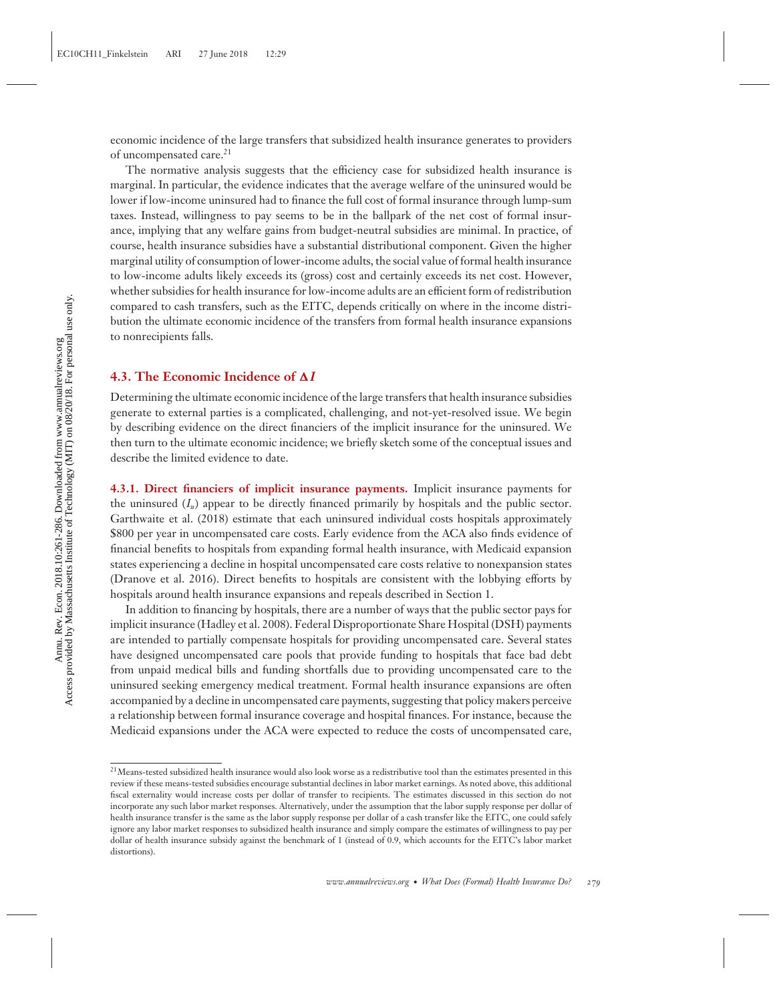economic incidence of the large transfers that subsidized health insurance generates to providers of uncompensated care.<sup>21</sup>

The normative analysis suggests that the efficiency case for subsidized health insurance is marginal. In particular, the evidence indicates that the average welfare of the uninsured would be lower if low-income uninsured had to finance the full cost of formal insurance through lump-sum taxes. Instead, willingness to pay seems to be in the ballpark of the net cost of formal insurance, implying that any welfare gains from budget-neutral subsidies are minimal. In practice, of course, health insurance subsidies have a substantial distributional component. Given the higher marginal utility of consumption of lower-income adults, the social value of formal health insurance to low-income adults likely exceeds its (gross) cost and certainly exceeds its net cost. However, whether subsidies for health insurance for low-income adults are an efficient form of redistribution compared to cash transfers, such as the EITC, depends critically on where in the income distribution the ultimate economic incidence of the transfers from formal health insurance expansions to nonrecipients falls.

### **4.3. The Economic Incidence of**  $\Delta$ *I*

Determining the ultimate economic incidence of the large transfers that health insurance subsidies generate to external parties is a complicated, challenging, and not-yet-resolved issue. We begin by describing evidence on the direct financiers of the implicit insurance for the uninsured. We then turn to the ultimate economic incidence; we briefly sketch some of the conceptual issues and describe the limited evidence to date.

**4.3.1. Direct financiers of implicit insurance payments.** Implicit insurance payments for the uninsured (*Iu*) appear to be directly financed primarily by hospitals and the public sector. Garthwaite et al. (2018) estimate that each uninsured individual costs hospitals approximately \$800 per year in uncompensated care costs. Early evidence from the ACA also finds evidence of financial benefits to hospitals from expanding formal health insurance, with Medicaid expansion states experiencing a decline in hospital uncompensated care costs relative to nonexpansion states (Dranove et al. 2016). Direct benefits to hospitals are consistent with the lobbying efforts by hospitals around health insurance expansions and repeals described in Section 1.

In addition to financing by hospitals, there are a number of ways that the public sector pays for implicit insurance (Hadley et al. 2008). Federal Disproportionate Share Hospital (DSH) payments are intended to partially compensate hospitals for providing uncompensated care. Several states have designed uncompensated care pools that provide funding to hospitals that face bad debt from unpaid medical bills and funding shortfalls due to providing uncompensated care to the uninsured seeking emergency medical treatment. Formal health insurance expansions are often accompanied by a decline in uncompensated care payments, suggesting that policy makers perceive a relationship between formal insurance coverage and hospital finances. For instance, because the Medicaid expansions under the ACA were expected to reduce the costs of uncompensated care,

<sup>&</sup>lt;sup>21</sup> Means-tested subsidized health insurance would also look worse as a redistributive tool than the estimates presented in this review if these means-tested subsidies encourage substantial declines in labor market earnings. As noted above, this additional fiscal externality would increase costs per dollar of transfer to recipients. The estimates discussed in this section do not incorporate any such labor market responses. Alternatively, under the assumption that the labor supply response per dollar of health insurance transfer is the same as the labor supply response per dollar of a cash transfer like the EITC, one could safely ignore any labor market responses to subsidized health insurance and simply compare the estimates of willingness to pay per dollar of health insurance subsidy against the benchmark of 1 (instead of 0.9, which accounts for the EITC's labor market distortions).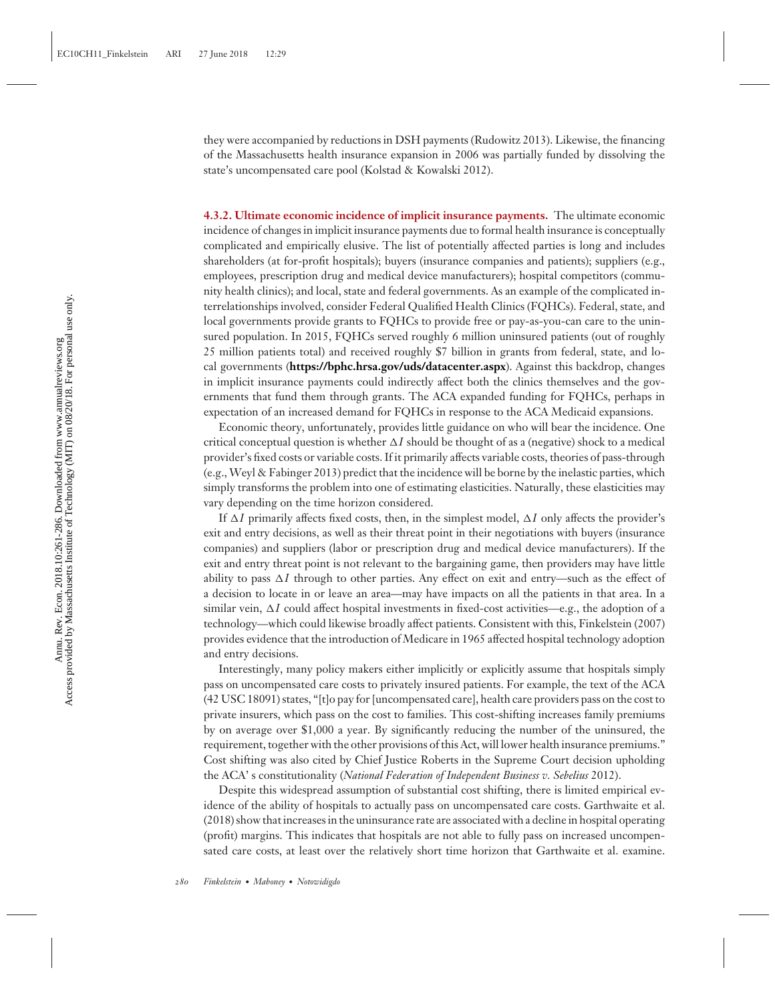they were accompanied by reductions in DSH payments (Rudowitz 2013). Likewise, the financing of the Massachusetts health insurance expansion in 2006 was partially funded by dissolving the state's uncompensated care pool (Kolstad & Kowalski 2012).

**4.3.2. Ultimate economic incidence of implicit insurance payments.** The ultimate economic incidence of changes in implicit insurance payments due to formal health insurance is conceptually complicated and empirically elusive. The list of potentially affected parties is long and includes shareholders (at for-profit hospitals); buyers (insurance companies and patients); suppliers (e.g., employees, prescription drug and medical device manufacturers); hospital competitors (community health clinics); and local, state and federal governments. As an example of the complicated interrelationships involved, consider Federal Qualified Health Clinics (FQHCs). Federal, state, and local governments provide grants to FQHCs to provide free or pay-as-you-can care to the uninsured population. In 2015, FQHCs served roughly 6 million uninsured patients (out of roughly 25 million patients total) and received roughly \$7 billion in grants from federal, state, and local governments (**<https://bphc.hrsa.gov/uds/datacenter.aspx>**). Against this backdrop, changes in implicit insurance payments could indirectly affect both the clinics themselves and the governments that fund them through grants. The ACA expanded funding for FQHCs, perhaps in expectation of an increased demand for FQHCs in response to the ACA Medicaid expansions.

Economic theory, unfortunately, provides little guidance on who will bear the incidence. One critical conceptual question is whether  $\Delta I$  should be thought of as a (negative) shock to a medical provider's fixed costs or variable costs. If it primarily affects variable costs, theories of pass-through (e.g.,Weyl & Fabinger 2013) predict that the incidence will be borne by the inelastic parties, which simply transforms the problem into one of estimating elasticities. Naturally, these elasticities may vary depending on the time horizon considered.

If  $\Delta I$  primarily affects fixed costs, then, in the simplest model,  $\Delta I$  only affects the provider's exit and entry decisions, as well as their threat point in their negotiations with buyers (insurance companies) and suppliers (labor or prescription drug and medical device manufacturers). If the exit and entry threat point is not relevant to the bargaining game, then providers may have little ability to pass  $\Delta I$  through to other parties. Any effect on exit and entry—such as the effect of a decision to locate in or leave an area—may have impacts on all the patients in that area. In a similar vein,  $\Delta I$  could affect hospital investments in fixed-cost activities—e.g., the adoption of a technology—which could likewise broadly affect patients. Consistent with this, Finkelstein (2007) provides evidence that the introduction of Medicare in 1965 affected hospital technology adoption and entry decisions.

Interestingly, many policy makers either implicitly or explicitly assume that hospitals simply pass on uncompensated care costs to privately insured patients. For example, the text of the ACA (42 USC 18091) states, "[t]o pay for [uncompensated care], health care providers pass on the cost to private insurers, which pass on the cost to families. This cost-shifting increases family premiums by on average over \$1,000 a year. By significantly reducing the number of the uninsured, the requirement, together with the other provisions of this Act, will lower health insurance premiums." Cost shifting was also cited by Chief Justice Roberts in the Supreme Court decision upholding the ACA' s constitutionality (*National Federation of Independent Business v. Sebelius* 2012).

Despite this widespread assumption of substantial cost shifting, there is limited empirical evidence of the ability of hospitals to actually pass on uncompensated care costs. Garthwaite et al. (2018) show that increases in the uninsurance rate are associated with a decline in hospital operating (profit) margins. This indicates that hospitals are not able to fully pass on increased uncompensated care costs, at least over the relatively short time horizon that Garthwaite et al. examine.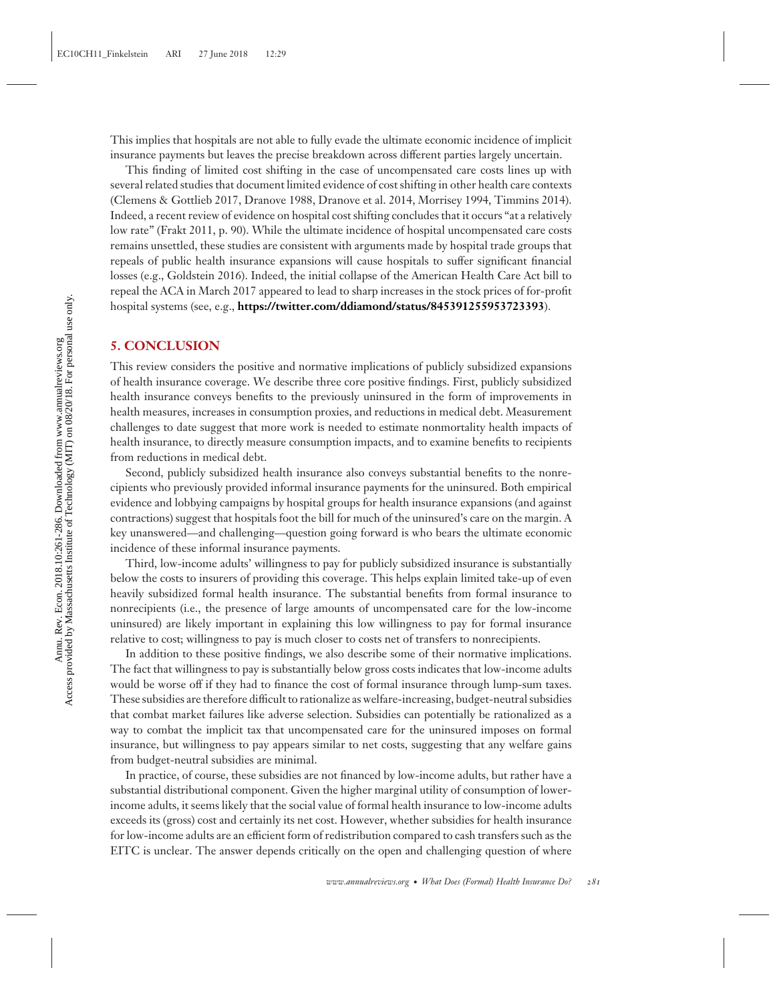This implies that hospitals are not able to fully evade the ultimate economic incidence of implicit insurance payments but leaves the precise breakdown across different parties largely uncertain.

This finding of limited cost shifting in the case of uncompensated care costs lines up with several related studies that document limited evidence of cost shifting in other health care contexts (Clemens & Gottlieb 2017, Dranove 1988, Dranove et al. 2014, Morrisey 1994, Timmins 2014). Indeed, a recent review of evidence on hospital cost shifting concludes that it occurs "at a relatively low rate" (Frakt 2011, p. 90). While the ultimate incidence of hospital uncompensated care costs remains unsettled, these studies are consistent with arguments made by hospital trade groups that repeals of public health insurance expansions will cause hospitals to suffer significant financial losses (e.g., Goldstein 2016). Indeed, the initial collapse of the American Health Care Act bill to repeal the ACA in March 2017 appeared to lead to sharp increases in the stock prices of for-profit hospital systems (see, e.g., **<https://twitter.com/ddiamond/status/845391255953723393>**).

#### **5. CONCLUSION**

This review considers the positive and normative implications of publicly subsidized expansions of health insurance coverage. We describe three core positive findings. First, publicly subsidized health insurance conveys benefits to the previously uninsured in the form of improvements in health measures, increases in consumption proxies, and reductions in medical debt. Measurement challenges to date suggest that more work is needed to estimate nonmortality health impacts of health insurance, to directly measure consumption impacts, and to examine benefits to recipients from reductions in medical debt.

Second, publicly subsidized health insurance also conveys substantial benefits to the nonrecipients who previously provided informal insurance payments for the uninsured. Both empirical evidence and lobbying campaigns by hospital groups for health insurance expansions (and against contractions) suggest that hospitals foot the bill for much of the uninsured's care on the margin. A key unanswered—and challenging—question going forward is who bears the ultimate economic incidence of these informal insurance payments.

Third, low-income adults' willingness to pay for publicly subsidized insurance is substantially below the costs to insurers of providing this coverage. This helps explain limited take-up of even heavily subsidized formal health insurance. The substantial benefits from formal insurance to nonrecipients (i.e., the presence of large amounts of uncompensated care for the low-income uninsured) are likely important in explaining this low willingness to pay for formal insurance relative to cost; willingness to pay is much closer to costs net of transfers to nonrecipients.

In addition to these positive findings, we also describe some of their normative implications. The fact that willingness to pay is substantially below gross costs indicates that low-income adults would be worse off if they had to finance the cost of formal insurance through lump-sum taxes. These subsidies are therefore difficult to rationalize as welfare-increasing, budget-neutral subsidies that combat market failures like adverse selection. Subsidies can potentially be rationalized as a way to combat the implicit tax that uncompensated care for the uninsured imposes on formal insurance, but willingness to pay appears similar to net costs, suggesting that any welfare gains from budget-neutral subsidies are minimal.

In practice, of course, these subsidies are not financed by low-income adults, but rather have a substantial distributional component. Given the higher marginal utility of consumption of lowerincome adults, it seems likely that the social value of formal health insurance to low-income adults exceeds its (gross) cost and certainly its net cost. However, whether subsidies for health insurance for low-income adults are an efficient form of redistribution compared to cash transfers such as the EITC is unclear. The answer depends critically on the open and challenging question of where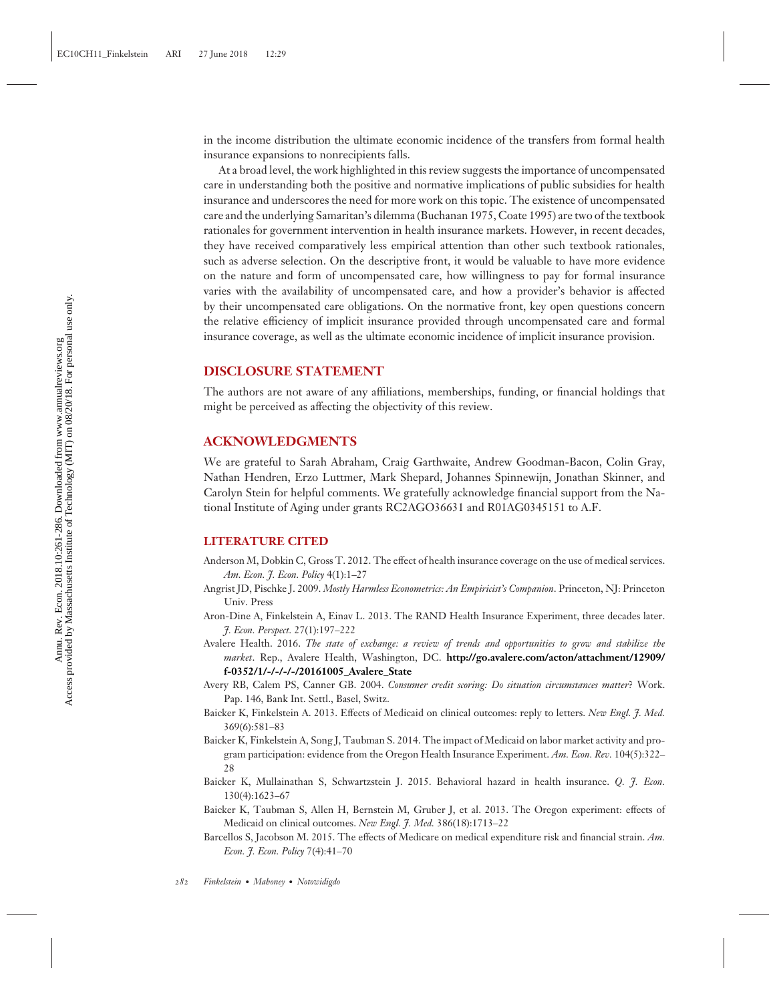in the income distribution the ultimate economic incidence of the transfers from formal health insurance expansions to nonrecipients falls.

At a broad level, the work highlighted in this review suggests the importance of uncompensated care in understanding both the positive and normative implications of public subsidies for health insurance and underscores the need for more work on this topic. The existence of uncompensated care and the underlying Samaritan's dilemma (Buchanan 1975, Coate 1995) are two of the textbook rationales for government intervention in health insurance markets. However, in recent decades, they have received comparatively less empirical attention than other such textbook rationales, such as adverse selection. On the descriptive front, it would be valuable to have more evidence on the nature and form of uncompensated care, how willingness to pay for formal insurance varies with the availability of uncompensated care, and how a provider's behavior is affected by their uncompensated care obligations. On the normative front, key open questions concern the relative efficiency of implicit insurance provided through uncompensated care and formal insurance coverage, as well as the ultimate economic incidence of implicit insurance provision.

#### **DISCLOSURE STATEMENT**

The authors are not aware of any affiliations, memberships, funding, or financial holdings that might be perceived as affecting the objectivity of this review.

#### **ACKNOWLEDGMENTS**

We are grateful to Sarah Abraham, Craig Garthwaite, Andrew Goodman-Bacon, Colin Gray, Nathan Hendren, Erzo Luttmer, Mark Shepard, Johannes Spinnewijn, Jonathan Skinner, and Carolyn Stein for helpful comments. We gratefully acknowledge financial support from the National Institute of Aging under grants RC2AGO36631 and R01AG0345151 to A.F.

#### **LITERATURE CITED**

- Anderson M, Dobkin C, Gross T. 2012. The effect of health insurance coverage on the use of medical services. *Am. Econ. J. Econ. Policy* 4(1):1–27
- Angrist JD, Pischke J. 2009. *Mostly Harmless Econometrics: An Empiricist's Companion*. Princeton, NJ: Princeton Univ. Press
- Aron-Dine A, Finkelstein A, Einav L. 2013. The RAND Health Insurance Experiment, three decades later. *J. Econ. Perspect.* 27(1):197–222
- Avalere Health. 2016. *The state of exchange: a review of trends and opportunities to grow and stabilize the market*. Rep., Avalere Health, Washington, DC. **[http://go.avalere.com/acton/attachment/12909/](http://go.avalere.com/acton/attachment/12909/f-0352/1/-/-/-/-/20161005_Avalere_State) [f-0352/1/-/-/-/-/20161005\\_Avalere\\_State](http://go.avalere.com/acton/attachment/12909/f-0352/1/-/-/-/-/20161005_Avalere_State)**
- Avery RB, Calem PS, Canner GB. 2004. *Consumer credit scoring: Do situation circumstances matter*? Work. Pap. 146, Bank Int. Settl., Basel, Switz.
- Baicker K, Finkelstein A. 2013. Effects of Medicaid on clinical outcomes: reply to letters. *New Engl. J. Med.* 369(6):581–83
- Baicker K, Finkelstein A, Song J, Taubman S. 2014. The impact of Medicaid on labor market activity and program participation: evidence from the Oregon Health Insurance Experiment. *Am. Econ. Rev.* 104(5):322– 28
- Baicker K, Mullainathan S, Schwartzstein J. 2015. Behavioral hazard in health insurance. *Q. J. Econ.* 130(4):1623–67
- Baicker K, Taubman S, Allen H, Bernstein M, Gruber J, et al. 2013. The Oregon experiment: effects of Medicaid on clinical outcomes. *New Engl. J. Med.* 386(18):1713–22
- Barcellos S, Jacobson M. 2015. The effects of Medicare on medical expenditure risk and financial strain. *Am. Econ. J. Econ. Policy* 7(4):41–70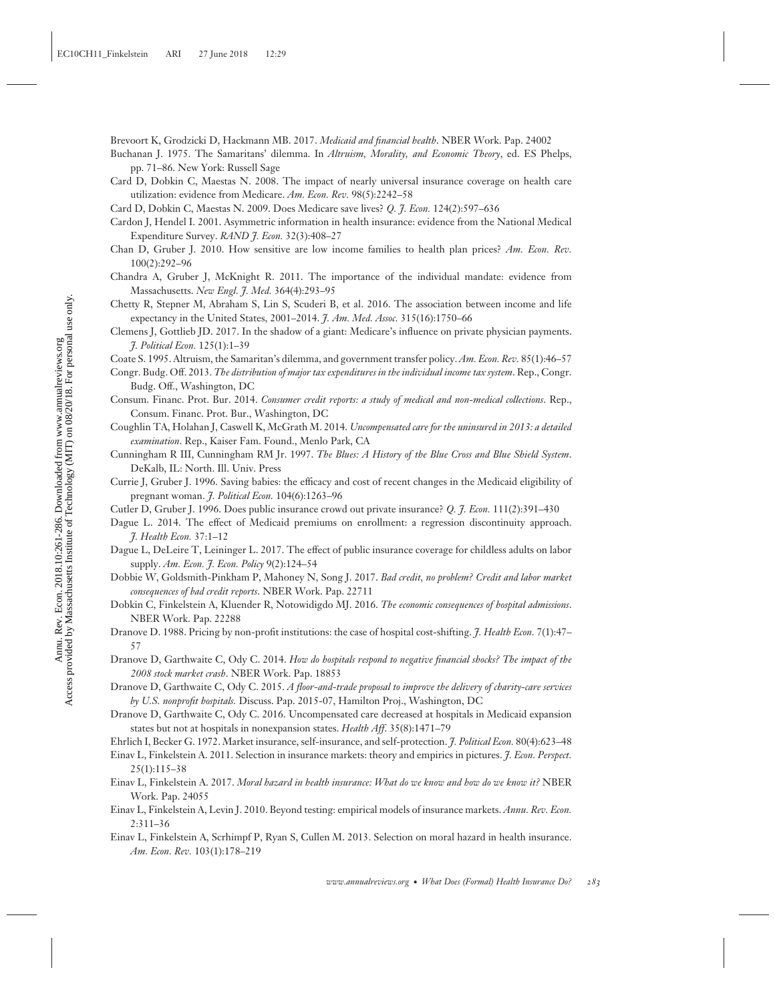Brevoort K, Grodzicki D, Hackmann MB. 2017. *Medicaid and financial health*. NBER Work. Pap. 24002

- Buchanan J. 1975. The Samaritans' dilemma. In *Altruism, Morality, and Economic Theory*, ed. ES Phelps, pp. 71–86. New York: Russell Sage
- Card D, Dobkin C, Maestas N. 2008. The impact of nearly universal insurance coverage on health care utilization: evidence from Medicare. *Am. Econ. Rev.* 98(5):2242–58
- Card D, Dobkin C, Maestas N. 2009. Does Medicare save lives? *Q. J. Econ.* 124(2):597–636
- Cardon J, Hendel I. 2001. Asymmetric information in health insurance: evidence from the National Medical Expenditure Survey. *RAND J. Econ.* 32(3):408–27
- Chan D, Gruber J. 2010. How sensitive are low income families to health plan prices? *Am. Econ. Rev.* 100(2):292–96
- Chandra A, Gruber J, McKnight R. 2011. The importance of the individual mandate: evidence from Massachusetts. *New Engl. J. Med.* 364(4):293–95
- Chetty R, Stepner M, Abraham S, Lin S, Scuderi B, et al. 2016. The association between income and life expectancy in the United States, 2001–2014. *J. Am. Med. Assoc.* 315(16):1750–66
- Clemens J, Gottlieb JD. 2017. In the shadow of a giant: Medicare's influence on private physician payments. *J. Political Econ.* 125(1):1–39
- Coate S. 1995. Altruism, the Samaritan's dilemma, and government transfer policy. *Am. Econ. Rev.* 85(1):46–57
- Congr. Budg. Off. 2013. *The distribution of major tax expenditures in the individual income tax system*. Rep., Congr. Budg. Off., Washington, DC
- Consum. Financ. Prot. Bur. 2014. *Consumer credit reports: a study of medical and non-medical collections*. Rep., Consum. Financ. Prot. Bur., Washington, DC
- Coughlin TA, Holahan J, Caswell K, McGrath M. 2014. *Uncompensated care for the uninsured in 2013: a detailed examination*. Rep., Kaiser Fam. Found., Menlo Park, CA
- Cunningham R III, Cunningham RM Jr. 1997. *The Blues: A History of the Blue Cross and Blue Shield System*. DeKalb, IL: North. Ill. Univ. Press
- Currie J, Gruber J. 1996. Saving babies: the efficacy and cost of recent changes in the Medicaid eligibility of pregnant woman. *J. Political Econ.* 104(6):1263–96
- Cutler D, Gruber J. 1996. Does public insurance crowd out private insurance? *Q. J. Econ.* 111(2):391–430
- Dague L. 2014. The effect of Medicaid premiums on enrollment: a regression discontinuity approach. *J. Health Econ.* 37:1–12
- Dague L, DeLeire T, Leininger L. 2017. The effect of public insurance coverage for childless adults on labor supply. *Am. Econ. J. Econ. Policy* 9(2):124–54
- Dobbie W, Goldsmith-Pinkham P, Mahoney N, Song J. 2017. *Bad credit, no problem? Credit and labor market consequences of bad credit reports*. NBER Work. Pap. 22711
- Dobkin C, Finkelstein A, Kluender R, Notowidigdo MJ. 2016. *The economic consequences of hospital admissions*. NBER Work. Pap. 22288
- Dranove D. 1988. Pricing by non-profit institutions: the case of hospital cost-shifting. *J. Health Econ.* 7(1):47– 57
- Dranove D, Garthwaite C, Ody C. 2014. *How do hospitals respond to negative financial shocks? The impact of the 2008 stock market crash*. NBER Work. Pap. 18853
- Dranove D, Garthwaite C, Ody C. 2015. *A floor-and-trade proposal to improve the delivery of charity-care services by U.S. nonprofit hospitals.* Discuss. Pap. 2015-07, Hamilton Proj., Washington, DC
- Dranove D, Garthwaite C, Ody C. 2016. Uncompensated care decreased at hospitals in Medicaid expansion states but not at hospitals in nonexpansion states. *Health Aff*. 35(8):1471–79
- Ehrlich I, Becker G. 1972. Market insurance, self-insurance, and self-protection. *J. Political Econ.* 80(4):623–48
- Einav L, Finkelstein A. 2011. Selection in insurance markets: theory and empirics in pictures. *J. Econ. Perspect.* 25(1):115–38
- Einav L, Finkelstein A. 2017. *Moral hazard in health insurance: What do we know and how do we know it?* NBER Work. Pap. 24055
- Einav L, Finkelstein A, Levin J. 2010. Beyond testing: empirical models of insurance markets. *Annu. Rev. Econ.* 2:311–36
- Einav L, Finkelstein A, Scrhimpf P, Ryan S, Cullen M. 2013. Selection on moral hazard in health insurance. *Am. Econ. Rev.* 103(1):178–219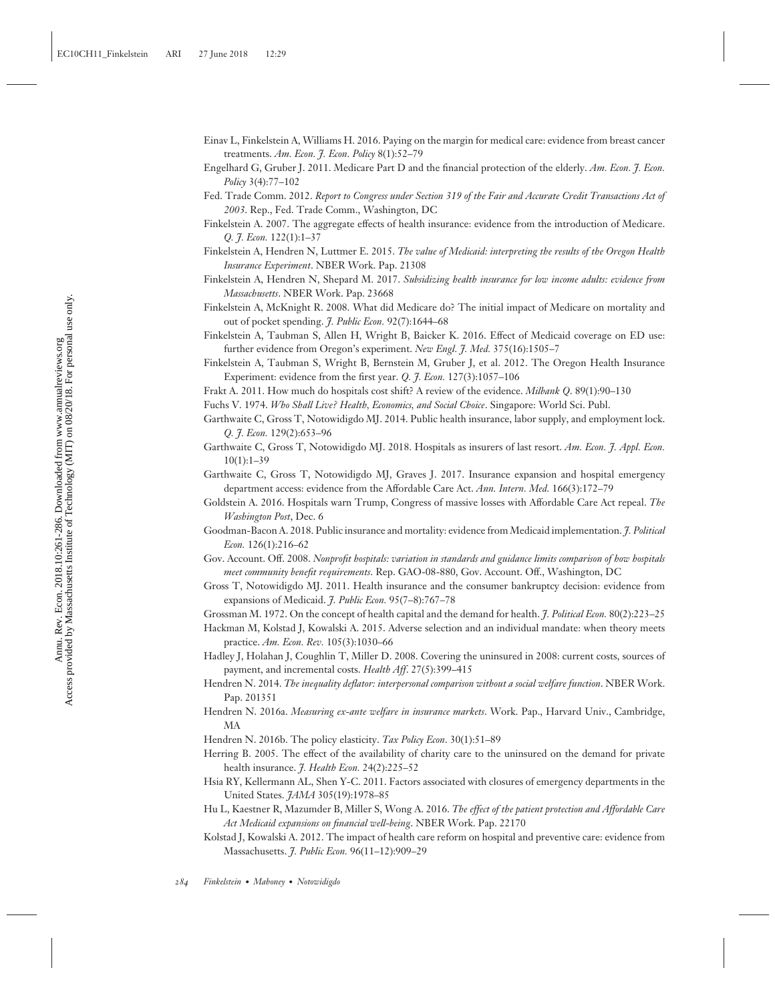- Einav L, Finkelstein A, Williams H. 2016. Paying on the margin for medical care: evidence from breast cancer treatments. *Am. Econ. J. Econ. Policy* 8(1):52–79
- Engelhard G, Gruber J. 2011. Medicare Part D and the financial protection of the elderly. *Am. Econ. J. Econ. Policy* 3(4):77–102

Fed. Trade Comm. 2012. *Report to Congress under Section 319 of the Fair and Accurate Credit Transactions Act of 2003*. Rep., Fed. Trade Comm., Washington, DC

- Finkelstein A. 2007. The aggregate effects of health insurance: evidence from the introduction of Medicare. *Q. J. Econ.* 122(1):1–37
- Finkelstein A, Hendren N, Luttmer E. 2015. *The value of Medicaid: interpreting the results of the Oregon Health Insurance Experiment*. NBER Work. Pap. 21308
- Finkelstein A, Hendren N, Shepard M. 2017. *Subsidizing health insurance for low income adults: evidence from Massachusetts*. NBER Work. Pap. 23668
- Finkelstein A, McKnight R. 2008. What did Medicare do? The initial impact of Medicare on mortality and out of pocket spending. *J. Public Econ.* 92(7):1644–68
- Finkelstein A, Taubman S, Allen H, Wright B, Baicker K. 2016. Effect of Medicaid coverage on ED use: further evidence from Oregon's experiment. *New Engl. J. Med.* 375(16):1505–7
- Finkelstein A, Taubman S, Wright B, Bernstein M, Gruber J, et al. 2012. The Oregon Health Insurance Experiment: evidence from the first year. *Q. J. Econ.* 127(3):1057–106
- Frakt A. 2011. How much do hospitals cost shift? A review of the evidence. *Milbank Q*. 89(1):90–130
- Fuchs V. 1974. *Who Shall Live? Health, Economics, and Social Choice*. Singapore: World Sci. Publ.
- Garthwaite C, Gross T, Notowidigdo MJ. 2014. Public health insurance, labor supply, and employment lock. *Q. J. Econ.* 129(2):653–96
- Garthwaite C, Gross T, Notowidigdo MJ. 2018. Hospitals as insurers of last resort. *Am. Econ. J. Appl. Econ.* 10(1):1–39
- Garthwaite C, Gross T, Notowidigdo MJ, Graves J. 2017. Insurance expansion and hospital emergency department access: evidence from the Affordable Care Act. *Ann. Intern. Med.* 166(3):172–79
- Goldstein A. 2016. Hospitals warn Trump, Congress of massive losses with Affordable Care Act repeal. *The Washington Post*, Dec. 6
- Goodman-Bacon A. 2018. Public insurance and mortality: evidence from Medicaid implementation. *J. Political Econ.* 126(1):216–62
- Gov. Account. Off. 2008. *Nonprofit hospitals: variation in standards and guidance limits comparison of how hospitals meet community benefit requirements*. Rep. GAO-08-880, Gov. Account. Off., Washington, DC
- Gross T, Notowidigdo MJ. 2011. Health insurance and the consumer bankruptcy decision: evidence from expansions of Medicaid. *J. Public Econ.* 95(7–8):767–78
- Grossman M. 1972. On the concept of health capital and the demand for health. *J. Political Econ.* 80(2):223–25
- Hackman M, Kolstad J, Kowalski A. 2015. Adverse selection and an individual mandate: when theory meets practice. *Am. Econ. Rev.* 105(3):1030–66
- Hadley J, Holahan J, Coughlin T, Miller D. 2008. Covering the uninsured in 2008: current costs, sources of payment, and incremental costs. *Health Aff*. 27(5):399–415
- Hendren N. 2014. *The inequality deflator: interpersonal comparison without a social welfare function*. NBER Work. Pap. 201351
- Hendren N. 2016a. *Measuring ex-ante welfare in insurance markets*. Work. Pap., Harvard Univ., Cambridge, MA
- Hendren N. 2016b. The policy elasticity. *Tax Policy Econ*. 30(1):51–89
- Herring B. 2005. The effect of the availability of charity care to the uninsured on the demand for private health insurance. *J. Health Econ.* 24(2):225–52
- Hsia RY, Kellermann AL, Shen Y-C. 2011. Factors associated with closures of emergency departments in the United States. *JAMA* 305(19):1978–85
- Hu L, Kaestner R, Mazumder B, Miller S, Wong A. 2016. *The effect of the patient protection and Affordable Care Act Medicaid expansions on financial well-being*. NBER Work. Pap. 22170
- Kolstad J, Kowalski A. 2012. The impact of health care reform on hospital and preventive care: evidence from Massachusetts. *J. Public Econ.* 96(11–12):909–29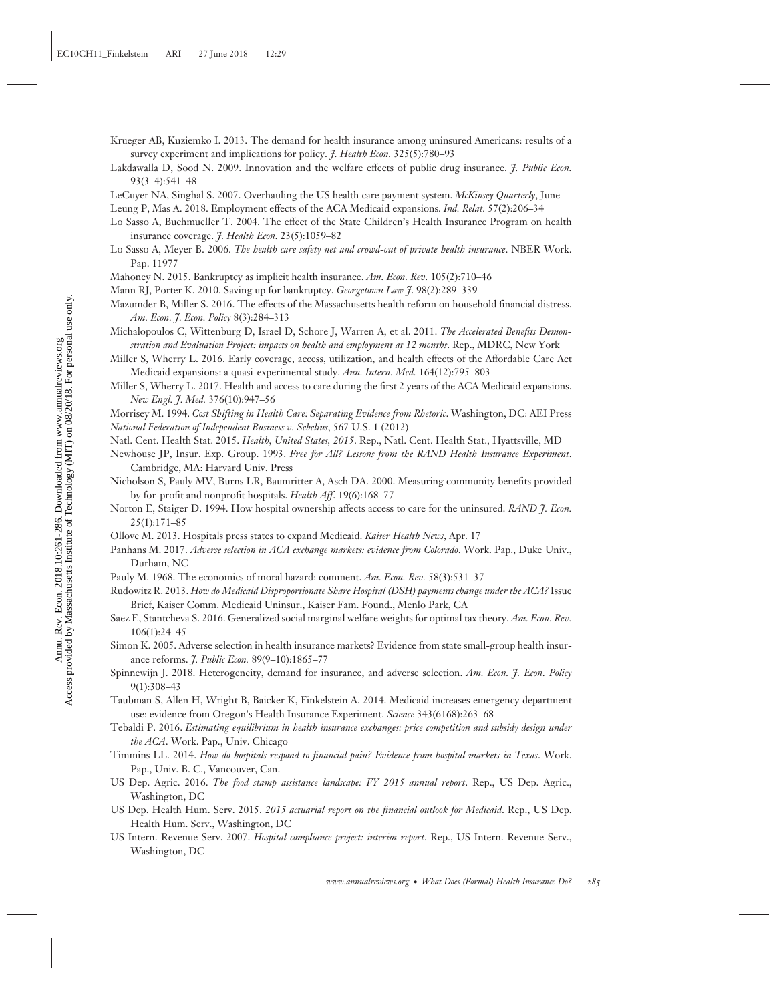- Krueger AB, Kuziemko I. 2013. The demand for health insurance among uninsured Americans: results of a survey experiment and implications for policy. *J. Health Econ.* 325(5):780–93
- Lakdawalla D, Sood N. 2009. Innovation and the welfare effects of public drug insurance. *J. Public Econ.* 93(3–4):541–48
- LeCuyer NA, Singhal S. 2007. Overhauling the US health care payment system. *McKinsey Quarterly*, June

- Lo Sasso A, Buchmueller T. 2004. The effect of the State Children's Health Insurance Program on health insurance coverage. *J. Health Econ.* 23(5):1059–82
- Lo Sasso A, Meyer B. 2006. *The health care safety net and crowd-out of private health insurance*. NBER Work. Pap. 11977
- Mahoney N. 2015. Bankruptcy as implicit health insurance. *Am. Econ. Rev.* 105(2):710–46
- Mann RJ, Porter K. 2010. Saving up for bankruptcy. *Georgetown Law J*. 98(2):289–339
- Mazumder B, Miller S. 2016. The effects of the Massachusetts health reform on household financial distress. *Am. Econ. J. Econ. Policy* 8(3):284–313
- Michalopoulos C, Wittenburg D, Israel D, Schore J, Warren A, et al. 2011. *The Accelerated Benefits Demonstration and Evaluation Project: impacts on health and employment at 12 months*. Rep., MDRC, New York
- Miller S, Wherry L. 2016. Early coverage, access, utilization, and health effects of the Affordable Care Act Medicaid expansions: a quasi-experimental study. *Ann. Intern. Med.* 164(12):795–803
- Miller S, Wherry L. 2017. Health and access to care during the first 2 years of the ACA Medicaid expansions. *New Engl. J. Med.* 376(10):947–56
- Morrisey M. 1994. *Cost Shifting in Health Care: Separating Evidence from Rhetoric*. Washington, DC: AEI Press *National Federation of Independent Business v. Sebelius*, 567 U.S. 1 (2012)
- Natl. Cent. Health Stat. 2015. *Health, United States, 2015*. Rep., Natl. Cent. Health Stat., Hyattsville, MD
- Newhouse JP, Insur. Exp. Group. 1993. *Free for All? Lessons from the RAND Health Insurance Experiment*. Cambridge, MA: Harvard Univ. Press
- Nicholson S, Pauly MV, Burns LR, Baumritter A, Asch DA. 2000. Measuring community benefits provided by for-profit and nonprofit hospitals. *Health Aff*. 19(6):168–77
- Norton E, Staiger D. 1994. How hospital ownership affects access to care for the uninsured. *RAND J. Econ.* 25(1):171–85
- Ollove M. 2013. Hospitals press states to expand Medicaid. *Kaiser Health News*, Apr. 17
- Panhans M. 2017. *Adverse selection in ACA exchange markets: evidence from Colorado*. Work. Pap., Duke Univ., Durham, NC
- Pauly M. 1968. The economics of moral hazard: comment. *Am. Econ. Rev.* 58(3):531–37
- Rudowitz R. 2013. *How do Medicaid Disproportionate Share Hospital (DSH) payments change under the ACA?* Issue Brief, Kaiser Comm. Medicaid Uninsur., Kaiser Fam. Found., Menlo Park, CA
- Saez E, Stantcheva S. 2016. Generalized social marginal welfare weights for optimal tax theory. *Am. Econ. Rev.* 106(1):24–45
- Simon K. 2005. Adverse selection in health insurance markets? Evidence from state small-group health insurance reforms. *J. Public Econ.* 89(9–10):1865–77
- Spinnewijn J. 2018. Heterogeneity, demand for insurance, and adverse selection. *Am. Econ. J. Econ. Policy* 9(1):308–43
- Taubman S, Allen H, Wright B, Baicker K, Finkelstein A. 2014. Medicaid increases emergency department use: evidence from Oregon's Health Insurance Experiment. *Science* 343(6168):263–68
- Tebaldi P. 2016. *Estimating equilibrium in health insurance exchanges: price competition and subsidy design under the ACA*. Work. Pap., Univ. Chicago
- Timmins LL. 2014. *How do hospitals respond to financial pain? Evidence from hospital markets in Texas*. Work. Pap., Univ. B. C., Vancouver, Can.
- US Dep. Agric. 2016. *The food stamp assistance landscape: FY 2015 annual report*. Rep., US Dep. Agric., Washington, DC
- US Dep. Health Hum. Serv. 2015. *2015 actuarial report on the financial outlook for Medicaid*. Rep., US Dep. Health Hum. Serv., Washington, DC
- US Intern. Revenue Serv. 2007. *Hospital compliance project: interim report*. Rep., US Intern. Revenue Serv., Washington, DC

Leung P, Mas A. 2018. Employment effects of the ACA Medicaid expansions. *Ind. Relat.* 57(2):206–34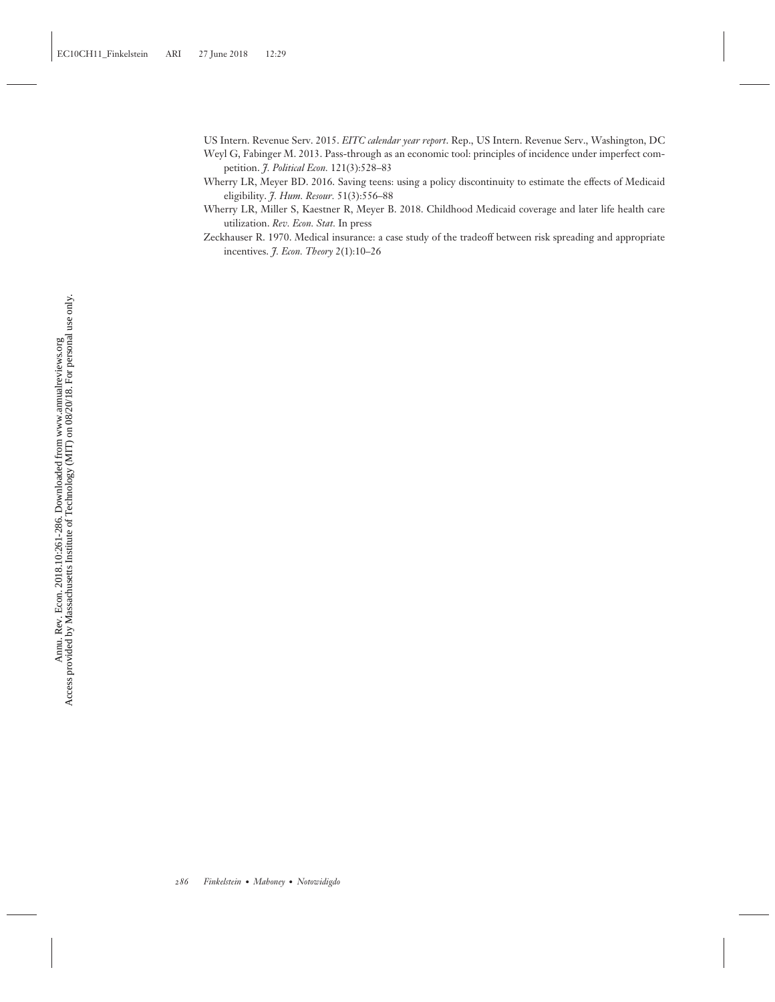US Intern. Revenue Serv. 2015. *EITC calendar year report*. Rep., US Intern. Revenue Serv., Washington, DC

- Weyl G, Fabinger M. 2013. Pass-through as an economic tool: principles of incidence under imperfect competition. *J. Political Econ.* 121(3):528–83
- Wherry LR, Meyer BD. 2016. Saving teens: using a policy discontinuity to estimate the effects of Medicaid eligibility. *J. Hum. Resour.* 51(3):556–88
- Wherry LR, Miller S, Kaestner R, Meyer B. 2018. Childhood Medicaid coverage and later life health care utilization. *Rev. Econ. Stat.* In press
- Zeckhauser R. 1970. Medical insurance: a case study of the tradeoff between risk spreading and appropriate incentives. *J. Econ. Theory* 2(1):10–26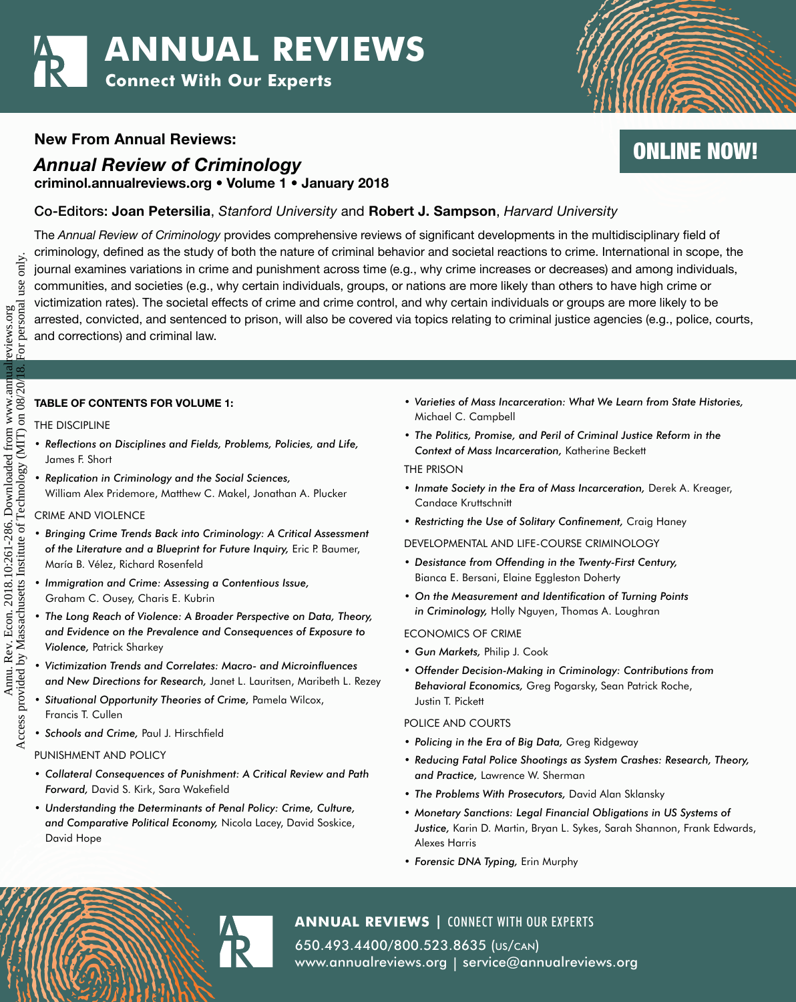# **ANNUAL REVIEWS Connect With Our Experts**



ONLINE NOW!

# **New From Annual Reviews:**

# *Annual Review of Criminology* **[criminol.annualreviews.org](http://www.annualreviews.org/journal/criminol) • Volume 1 • January 2018**

# Co-Editors: **Joan Petersilia**, *Stanford University* and **Robert J. Sampson**, *Harvard University*

The *Annual Review of Criminology* provides comprehensive reviews of significant developments in the multidisciplinary field of criminology, defined as the study of both the nature of criminal behavior and societal reactions to crime. International in scope, the journal examines variations in crime and punishment across time (e.g., why crime increases or decreases) and among individuals, communities, and societies (e.g., why certain individuals, groups, or nations are more likely than others to have high crime or victimization rates). The societal effects of crime and crime control, and why certain individuals or groups are more likely to be arrested, convicted, and sentenced to prison, will also be covered via topics relating to criminal justice agencies (e.g., police, courts, and corrections) and criminal law.

#### **TABLE OF CONTENTS FOR VOLUME 1:**

#### THE DISCIPLINE

- *• Reflections on Disciplines and Fields, Problems, Policies, and Life,*  James F. Short
- *• Replication in Criminology and the Social Sciences,*  William Alex Pridemore, Matthew C. Makel, Jonathan A. Plucker

#### CRIME AND VIOLENCE

- *• Bringing Crime Trends Back into Criminology: A Critical Assessment of the Literature and a Blueprint for Future Inquiry,* Eric P. Baumer, María B. Vélez, Richard Rosenfeld
- *• Immigration and Crime: Assessing a Contentious Issue,* Graham C. Ousey, Charis E. Kubrin
- *• The Long Reach of Violence: A Broader Perspective on Data, Theory, and Evidence on the Prevalence and Consequences of Exposure to Violence,* Patrick Sharkey
- *• Victimization Trends and Correlates: Macro‑ and Microinfluences and New Directions for Research,* Janet L. Lauritsen, Maribeth L. Rezey
- *• Situational Opportunity Theories of Crime,* Pamela Wilcox, Francis T. Cullen
- *• Schools and Crime,* Paul J. Hirschfield

#### PUNISHMENT AND POLICY

- *• Collateral Consequences of Punishment: A Critical Review and Path Forward,* David S. Kirk, Sara Wakefield
- *• Understanding the Determinants of Penal Policy: Crime, Culture, and Comparative Political Economy,* Nicola Lacey, David Soskice, David Hope
- *• Varieties of Mass Incarceration: What We Learn from State Histories,*  Michael C. Campbell
- *• The Politics, Promise, and Peril of Criminal Justice Reform in the Context of Mass Incarceration,* Katherine Beckett

#### THE PRISON

- *• Inmate Society in the Era of Mass Incarceration,* Derek A. Kreager, Candace Kruttschnitt
- *• Restricting the Use of Solitary Confinement,* Craig Haney

DEVELOPMENTAL AND LIFE‑COURSE CRIMINOLOGY

- *• Desistance from Offending in the Twenty‑First Century,*  Bianca E. Bersani, Elaine Eggleston Doherty
- *• On the Measurement and Identification of Turning Points in Criminology,* Holly Nguyen, Thomas A. Loughran

#### ECONOMICS OF CRIME

- *• Gun Markets,* Philip J. Cook
- *• Offender Decision‑Making in Criminology: Contributions from Behavioral Economics,* Greg Pogarsky, Sean Patrick Roche, Justin T. Pickett

#### POLICE AND COURTS

- *• Policing in the Era of Big Data,* Greg Ridgeway
- *• Reducing Fatal Police Shootings as System Crashes: Research, Theory, and Practice,* Lawrence W. Sherman
- *• The Problems With Prosecutors,* David Alan Sklansky
- *• Monetary Sanctions: Legal Financial Obligations in US Systems of Justice,* Karin D. Martin, Bryan L. Sykes, Sarah Shannon, Frank Edwards, Alexes Harris
- *• Forensic DNA Typing,* Erin Murphy

# **ANNUAL REVIEWS |** CONNECT WITH OUR EXPERTS 650.493.4400/800.523.8635 (us/can)

only.  $_{\rm{use}}$ 

www.annualreviews.org | service@annualreviews.org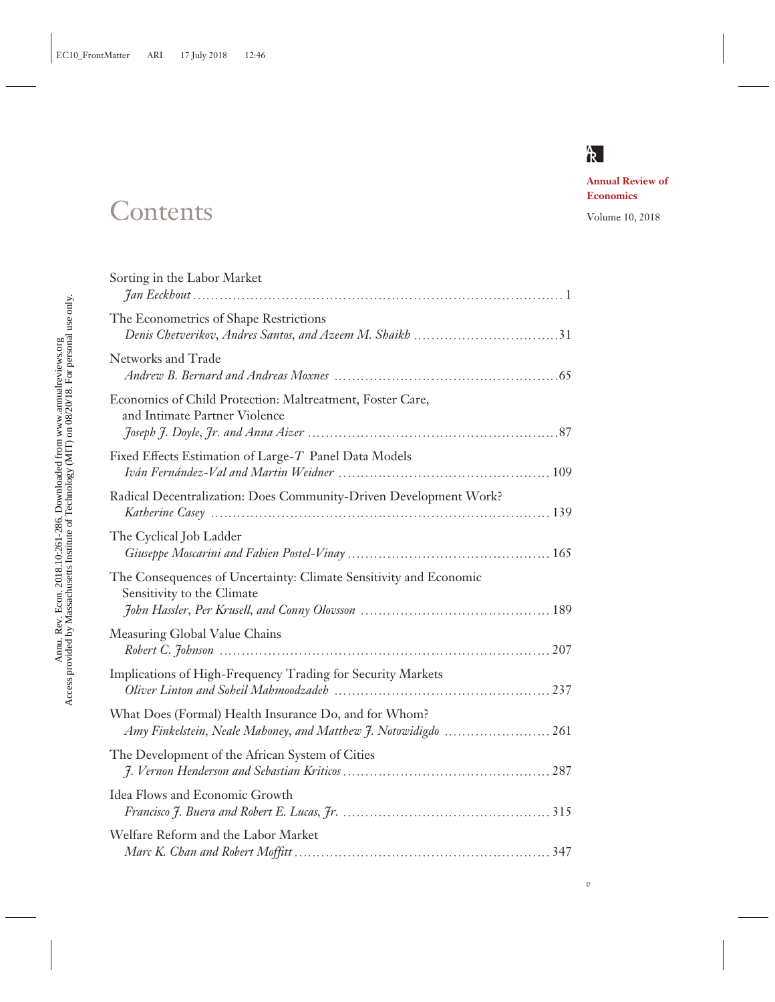

*v*

**Annual Review of Economics**

# Contents Volume 10, 2018

| Sorting in the Labor Market                                                                                              |
|--------------------------------------------------------------------------------------------------------------------------|
| The Econometrics of Shape Restrictions<br>Denis Chetverikov, Andres Santos, and Azeem M. Shaikh 31                       |
| Networks and Trade                                                                                                       |
| Economics of Child Protection: Maltreatment, Foster Care,<br>and Intimate Partner Violence                               |
| Fixed Effects Estimation of Large-T Panel Data Models                                                                    |
| Radical Decentralization: Does Community-Driven Development Work?                                                        |
| The Cyclical Job Ladder                                                                                                  |
| The Consequences of Uncertainty: Climate Sensitivity and Economic<br>Sensitivity to the Climate                          |
| Measuring Global Value Chains                                                                                            |
| Implications of High-Frequency Trading for Security Markets                                                              |
| What Does (Formal) Health Insurance Do, and for Whom?<br>Amy Finkelstein, Neale Mahoney, and Matthew J. Notowidigdo  261 |
| The Development of the African System of Cities                                                                          |
| Idea Flows and Economic Growth                                                                                           |
| Welfare Reform and the Labor Market                                                                                      |